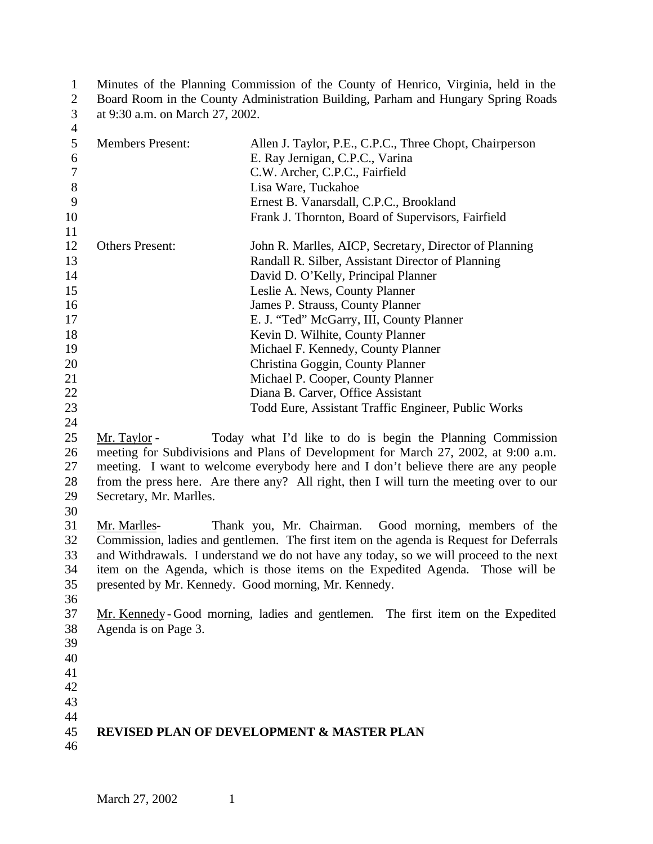| $\mathbf{1}$   | Minutes of the Planning Commission of the County of Henrico, Virginia, held in the |                                                                                         |  |
|----------------|------------------------------------------------------------------------------------|-----------------------------------------------------------------------------------------|--|
| $\overline{2}$ | Board Room in the County Administration Building, Parham and Hungary Spring Roads  |                                                                                         |  |
| $\mathfrak{Z}$ | at 9:30 a.m. on March 27, 2002.                                                    |                                                                                         |  |
| $\overline{4}$ |                                                                                    |                                                                                         |  |
| 5              | <b>Members Present:</b>                                                            | Allen J. Taylor, P.E., C.P.C., Three Chopt, Chairperson                                 |  |
| 6              |                                                                                    | E. Ray Jernigan, C.P.C., Varina                                                         |  |
| $\tau$         |                                                                                    | C.W. Archer, C.P.C., Fairfield                                                          |  |
| 8              |                                                                                    | Lisa Ware, Tuckahoe                                                                     |  |
| 9              |                                                                                    | Ernest B. Vanarsdall, C.P.C., Brookland                                                 |  |
| 10             |                                                                                    | Frank J. Thornton, Board of Supervisors, Fairfield                                      |  |
| 11             |                                                                                    |                                                                                         |  |
| 12             | <b>Others Present:</b>                                                             | John R. Marlles, AICP, Secretary, Director of Planning                                  |  |
| 13             |                                                                                    | Randall R. Silber, Assistant Director of Planning                                       |  |
| 14             |                                                                                    | David D. O'Kelly, Principal Planner                                                     |  |
| 15             |                                                                                    |                                                                                         |  |
|                |                                                                                    | Leslie A. News, County Planner                                                          |  |
| 16             |                                                                                    | James P. Strauss, County Planner                                                        |  |
| 17             |                                                                                    | E. J. "Ted" McGarry, III, County Planner                                                |  |
| 18             |                                                                                    | Kevin D. Wilhite, County Planner                                                        |  |
| 19             |                                                                                    | Michael F. Kennedy, County Planner                                                      |  |
| 20             |                                                                                    | Christina Goggin, County Planner                                                        |  |
| 21             |                                                                                    | Michael P. Cooper, County Planner                                                       |  |
| 22             |                                                                                    | Diana B. Carver, Office Assistant                                                       |  |
| 23             |                                                                                    | Todd Eure, Assistant Traffic Engineer, Public Works                                     |  |
| 24             |                                                                                    |                                                                                         |  |
| 25             | Mr. Taylor -                                                                       | Today what I'd like to do is begin the Planning Commission                              |  |
| 26             |                                                                                    | meeting for Subdivisions and Plans of Development for March 27, 2002, at 9:00 a.m.      |  |
| 27             |                                                                                    | meeting. I want to welcome everybody here and I don't believe there are any people      |  |
| 28             |                                                                                    | from the press here. Are there any? All right, then I will turn the meeting over to our |  |
| 29             | Secretary, Mr. Marlles.                                                            |                                                                                         |  |
| 30             |                                                                                    |                                                                                         |  |
| 31             | Mr. Marlles-                                                                       | Thank you, Mr. Chairman. Good morning, members of the                                   |  |
| 32             |                                                                                    | Commission, ladies and gentlemen. The first item on the agenda is Request for Deferrals |  |
| 33             |                                                                                    | and Withdrawals. I understand we do not have any today, so we will proceed to the next  |  |
| 34             |                                                                                    | item on the Agenda, which is those items on the Expedited Agenda. Those will be         |  |
| 35             |                                                                                    | presented by Mr. Kennedy. Good morning, Mr. Kennedy.                                    |  |
| 36             |                                                                                    |                                                                                         |  |
| 37             |                                                                                    | Mr. Kennedy-Good morning, ladies and gentlemen. The first item on the Expedited         |  |
| 38             | Agenda is on Page 3.                                                               |                                                                                         |  |
| 39             |                                                                                    |                                                                                         |  |
|                |                                                                                    |                                                                                         |  |
| 40             |                                                                                    |                                                                                         |  |
| 41             |                                                                                    |                                                                                         |  |
| 42             |                                                                                    |                                                                                         |  |
| 43             |                                                                                    |                                                                                         |  |
| 44             |                                                                                    |                                                                                         |  |
| 45             |                                                                                    | <b>REVISED PLAN OF DEVELOPMENT &amp; MASTER PLAN</b>                                    |  |
| 46             |                                                                                    |                                                                                         |  |
|                |                                                                                    |                                                                                         |  |
|                |                                                                                    |                                                                                         |  |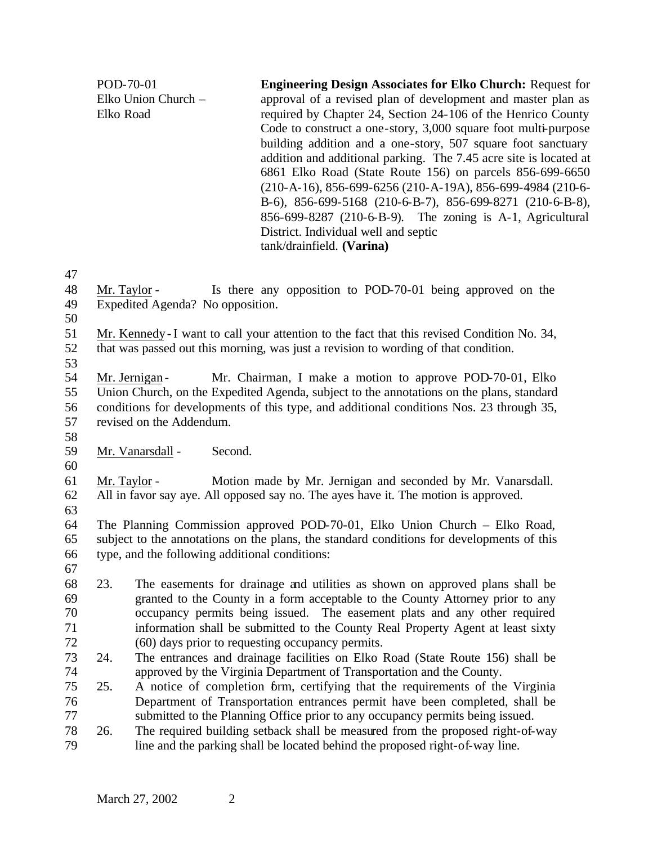POD-70-01 Elko Union Church – Elko Road **Engineering Design Associates for Elko Church:** Request for approval of a revised plan of development and master plan as required by Chapter 24, Section 24-106 of the Henrico County Code to construct a one-story, 3,000 square foot multi-purpose building addition and a one-story, 507 square foot sanctuary addition and additional parking. The 7.45 acre site is located at 6861 Elko Road (State Route 156) on parcels 856-699-6650 (210-A-16), 856-699-6256 (210-A-19A), 856-699-4984 (210-6- B-6), 856-699-5168 (210-6-B-7), 856-699-8271 (210-6-B-8), 856-699-8287 (210-6-B-9). The zoning is A-1, Agricultural District. Individual well and septic tank/drainfield. **(Varina)** Mr. Taylor - Is there any opposition to POD-70-01 being approved on the Expedited Agenda? No opposition. Mr. Kennedy - I want to call your attention to the fact that this revised Condition No. 34, that was passed out this morning, was just a revision to wording of that condition.

54 Mr. Jernigan - Mr. Chairman, I make a motion to approve POD-70-01, Elko Union Church, on the Expedited Agenda, subject to the annotations on the plans, standard conditions for developments of this type, and additional conditions Nos. 23 through 35, revised on the Addendum.

- Mr. Vanarsdall Second.
- 

 Mr. Taylor - Motion made by Mr. Jernigan and seconded by Mr. Vanarsdall. All in favor say aye. All opposed say no. The ayes have it. The motion is approved.

 The Planning Commission approved POD-70-01, Elko Union Church – Elko Road, subject to the annotations on the plans, the standard conditions for developments of this type, and the following additional conditions:

- 
- 23. The easements for drainage and utilities as shown on approved plans shall be granted to the County in a form acceptable to the County Attorney prior to any occupancy permits being issued. The easement plats and any other required information shall be submitted to the County Real Property Agent at least sixty (60) days prior to requesting occupancy permits.
- 24. The entrances and drainage facilities on Elko Road (State Route 156) shall be approved by the Virginia Department of Transportation and the County.
- 25. A notice of completion form, certifying that the requirements of the Virginia Department of Transportation entrances permit have been completed, shall be submitted to the Planning Office prior to any occupancy permits being issued.
- 26. The required building setback shall be measured from the proposed right-of-way line and the parking shall be located behind the proposed right-of-way line.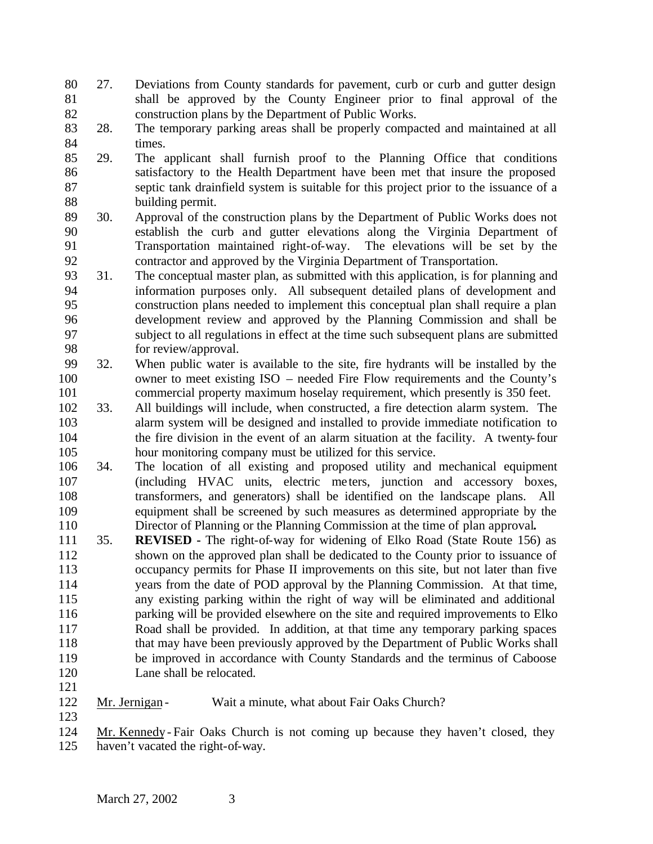- 27. Deviations from County standards for pavement, curb or curb and gutter design shall be approved by the County Engineer prior to final approval of the construction plans by the Department of Public Works.
- 28. The temporary parking areas shall be properly compacted and maintained at all times.
- 29. The applicant shall furnish proof to the Planning Office that conditions satisfactory to the Health Department have been met that insure the proposed septic tank drainfield system is suitable for this project prior to the issuance of a building permit.
- 30. Approval of the construction plans by the Department of Public Works does not establish the curb and gutter elevations along the Virginia Department of Transportation maintained right-of-way. The elevations will be set by the contractor and approved by the Virginia Department of Transportation.
- 31. The conceptual master plan, as submitted with this application, is for planning and information purposes only. All subsequent detailed plans of development and construction plans needed to implement this conceptual plan shall require a plan development review and approved by the Planning Commission and shall be subject to all regulations in effect at the time such subsequent plans are submitted for review/approval.
- 32. When public water is available to the site, fire hydrants will be installed by the owner to meet existing ISO – needed Fire Flow requirements and the County's commercial property maximum hoselay requirement, which presently is 350 feet.
- 33. All buildings will include, when constructed, a fire detection alarm system. The alarm system will be designed and installed to provide immediate notification to the fire division in the event of an alarm situation at the facility. A twenty-four hour monitoring company must be utilized for this service.
- 34. The location of all existing and proposed utility and mechanical equipment (including HVAC units, electric me ters, junction and accessory boxes, transformers, and generators) shall be identified on the landscape plans. All equipment shall be screened by such measures as determined appropriate by the 110 Director of Planning or the Planning Commission at the time of plan approval.<br>111 35. **REVISED** - The right-of-way for widening of Elko Road (State Route 156)
- 35. **REVISED -** The right-of-way for widening of Elko Road (State Route 156) as shown on the approved plan shall be dedicated to the County prior to issuance of occupancy permits for Phase II improvements on this site, but not later than five years from the date of POD approval by the Planning Commission. At that time, any existing parking within the right of way will be eliminated and additional parking will be provided elsewhere on the site and required improvements to Elko Road shall be provided. In addition, at that time any temporary parking spaces 118 that may have been previously approved by the Department of Public Works shall be improved in accordance with County Standards and the terminus of Caboose Lane shall be relocated.
- 

122 Mr. Jernigan - Wait a minute, what about Fair Oaks Church? 

- Mr. Kennedy Fair Oaks Church is not coming up because they haven't closed, they haven't vacated the right-of-way.
	- March 27, 2002 3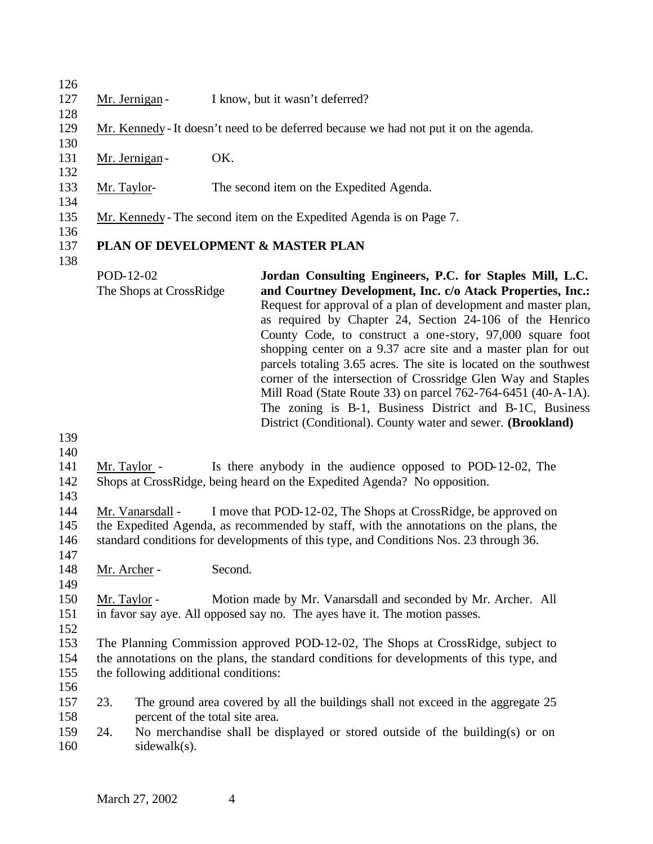127 Mr. Jernigan - I know, but it wasn't deferred? Mr. Kennedy - It doesn't need to be deferred because we had not put it on the agenda. 131 Mr. Jernigan - OK. Mr. Taylor- The second item on the Expedited Agenda. Mr. Kennedy - The second item on the Expedited Agenda is on Page 7. **PLAN OF DEVELOPMENT & MASTER PLAN** POD-12-02 The Shops at CrossRidge **Jordan Consulting Engineers, P.C. for Staples Mill, L.C. and Courtney Development, Inc. c/o Atack Properties, Inc.:**  Request for approval of a plan of development and master plan, as required by Chapter 24, Section 24-106 of the Henrico County Code, to construct a one-story, 97,000 square foot shopping center on a 9.37 acre site and a master plan for out parcels totaling 3.65 acres. The site is located on the southwest corner of the intersection of Crossridge Glen Way and Staples Mill Road (State Route 33) on parcel 762-764-6451 (40-A-1A). The zoning is B-1, Business District and B-1C, Business District (Conditional). County water and sewer. **(Brookland)** Mr. Taylor - Is there anybody in the audience opposed to POD-12-02, The Shops at CrossRidge, being heard on the Expedited Agenda? No opposition. Mr. Vanarsdall - I move that POD-12-02, The Shops at CrossRidge, be approved on the Expedited Agenda, as recommended by staff, with the annotations on the plans, the standard conditions for developments of this type, and Conditions Nos. 23 through 36. 148 Mr. Archer - Second. Mr. Taylor - Motion made by Mr. Vanarsdall and seconded by Mr. Archer. All in favor say aye. All opposed say no. The ayes have it. The motion passes. The Planning Commission approved POD-12-02, The Shops at CrossRidge, subject to the annotations on the plans, the standard conditions for developments of this type, and the following additional conditions:

- 
- 23. The ground area covered by all the buildings shall not exceed in the aggregate 25 percent of the total site area.
- 24. No merchandise shall be displayed or stored outside of the building(s) or on sidewalk(s).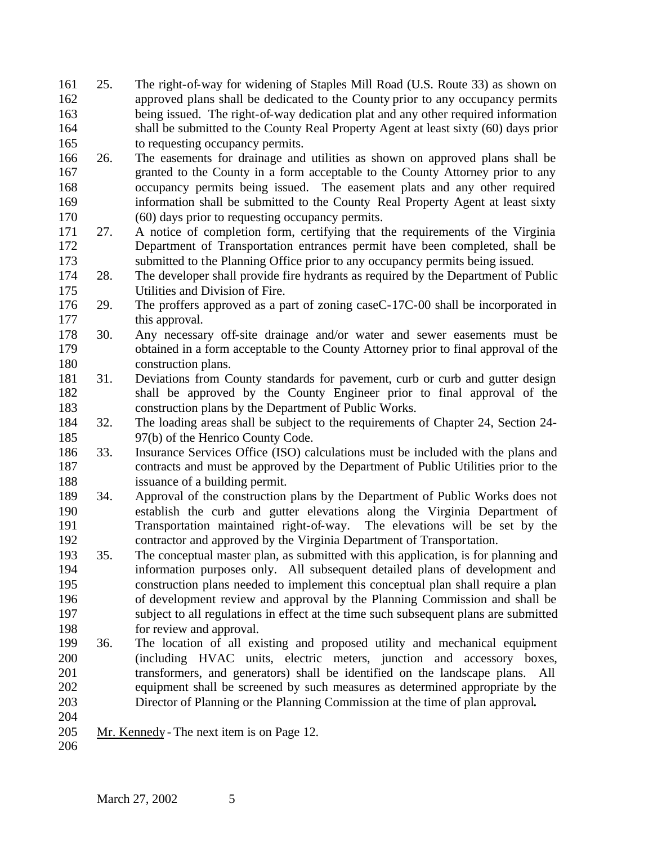- 25. The right-of-way for widening of Staples Mill Road (U.S. Route 33) as shown on approved plans shall be dedicated to the County prior to any occupancy permits being issued. The right-of-way dedication plat and any other required information shall be submitted to the County Real Property Agent at least sixty (60) days prior to requesting occupancy permits.
- 26. The easements for drainage and utilities as shown on approved plans shall be granted to the County in a form acceptable to the County Attorney prior to any occupancy permits being issued. The easement plats and any other required information shall be submitted to the County Real Property Agent at least sixty (60) days prior to requesting occupancy permits.
- 27. A notice of completion form, certifying that the requirements of the Virginia Department of Transportation entrances permit have been completed, shall be submitted to the Planning Office prior to any occupancy permits being issued.
- 28. The developer shall provide fire hydrants as required by the Department of Public Utilities and Division of Fire.
- 29. The proffers approved as a part of zoning caseC-17C-00 shall be incorporated in 177 this approval.
- 30. Any necessary off-site drainage and/or water and sewer easements must be obtained in a form acceptable to the County Attorney prior to final approval of the construction plans.
- 31. Deviations from County standards for pavement, curb or curb and gutter design shall be approved by the County Engineer prior to final approval of the construction plans by the Department of Public Works.
- 32. The loading areas shall be subject to the requirements of Chapter 24, Section 24- 97(b) of the Henrico County Code.
- 33. Insurance Services Office (ISO) calculations must be included with the plans and contracts and must be approved by the Department of Public Utilities prior to the issuance of a building permit.
- 34. Approval of the construction plans by the Department of Public Works does not establish the curb and gutter elevations along the Virginia Department of Transportation maintained right-of-way. The elevations will be set by the contractor and approved by the Virginia Department of Transportation.
- 35. The conceptual master plan, as submitted with this application, is for planning and information purposes only. All subsequent detailed plans of development and construction plans needed to implement this conceptual plan shall require a plan of development review and approval by the Planning Commission and shall be subject to all regulations in effect at the time such subsequent plans are submitted for review and approval.
- 36. The location of all existing and proposed utility and mechanical equipment (including HVAC units, electric meters, junction and accessory boxes, transformers, and generators) shall be identified on the landscape plans. All equipment shall be screened by such measures as determined appropriate by the Director of Planning or the Planning Commission at the time of plan approval**.**
- Mr. Kennedy The next item is on Page 12.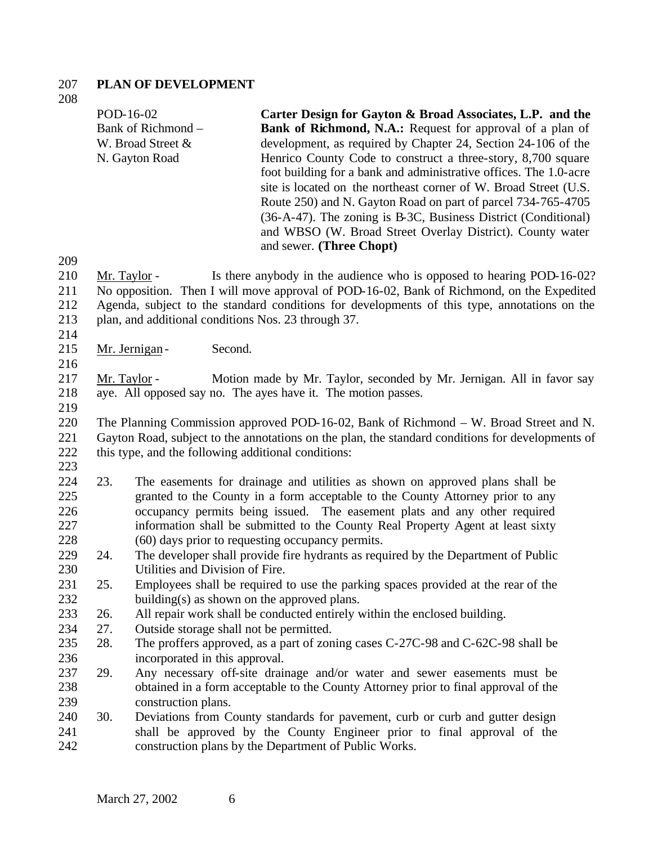# **PLAN OF DEVELOPMENT**

|            | POD-16-02                                           | Carter Design for Gayton & Broad Associates, L.P. and the                                                                                                                                 |
|------------|-----------------------------------------------------|-------------------------------------------------------------------------------------------------------------------------------------------------------------------------------------------|
|            | Bank of Richmond -                                  | Bank of Richmond, N.A.: Request for approval of a plan of                                                                                                                                 |
|            | W. Broad Street &                                   | development, as required by Chapter 24, Section 24-106 of the                                                                                                                             |
|            | N. Gayton Road                                      | Henrico County Code to construct a three-story, 8,700 square<br>foot building for a bank and administrative offices. The 1.0-acre                                                         |
|            |                                                     | site is located on the northeast corner of W. Broad Street (U.S.                                                                                                                          |
|            |                                                     | Route 250) and N. Gayton Road on part of parcel 734-765-4705                                                                                                                              |
|            |                                                     | (36-A-47). The zoning is B-3C, Business District (Conditional)<br>and WBSO (W. Broad Street Overlay District). County water                                                               |
|            |                                                     | and sewer. (Three Chopt)                                                                                                                                                                  |
| 209        |                                                     |                                                                                                                                                                                           |
| 210        | Mr. Taylor -                                        | Is there anybody in the audience who is opposed to hearing POD-16-02?                                                                                                                     |
| 211        |                                                     | No opposition. Then I will move approval of POD-16-02, Bank of Richmond, on the Expedited                                                                                                 |
| 212        |                                                     | Agenda, subject to the standard conditions for developments of this type, annotations on the                                                                                              |
| 213        | plan, and additional conditions Nos. 23 through 37. |                                                                                                                                                                                           |
| 214        |                                                     |                                                                                                                                                                                           |
| 215        | Second.<br>Mr. Jernigan-                            |                                                                                                                                                                                           |
| 216        |                                                     |                                                                                                                                                                                           |
| 217        | Mr. Taylor -                                        | Motion made by Mr. Taylor, seconded by Mr. Jernigan. All in favor say                                                                                                                     |
| 218        |                                                     | aye. All opposed say no. The ayes have it. The motion passes.                                                                                                                             |
| 219        |                                                     |                                                                                                                                                                                           |
| 220<br>221 |                                                     | The Planning Commission approved POD-16-02, Bank of Richmond – W. Broad Street and N.<br>Gayton Road, subject to the annotations on the plan, the standard conditions for developments of |
| 222        | this type, and the following additional conditions: |                                                                                                                                                                                           |
| つつつ        |                                                     |                                                                                                                                                                                           |

- 23. The easements for drainage and utilities as shown on approved plans shall be granted to the County in a form acceptable to the County Attorney prior to any occupancy permits being issued. The easement plats and any other required information shall be submitted to the County Real Property Agent at least sixty (60) days prior to requesting occupancy permits.
- 24. The developer shall provide fire hydrants as required by the Department of Public Utilities and Division of Fire.
- 25. Employees shall be required to use the parking spaces provided at the rear of the 232 building(s) as shown on the approved plans.
- 26. All repair work shall be conducted entirely within the enclosed building.
- 27. Outside storage shall not be permitted.
- 28. The proffers approved, as a part of zoning cases C-27C-98 and C-62C-98 shall be incorporated in this approval.
- 29. Any necessary off-site drainage and/or water and sewer easements must be obtained in a form acceptable to the County Attorney prior to final approval of the construction plans.
- 30. Deviations from County standards for pavement, curb or curb and gutter design shall be approved by the County Engineer prior to final approval of the construction plans by the Department of Public Works.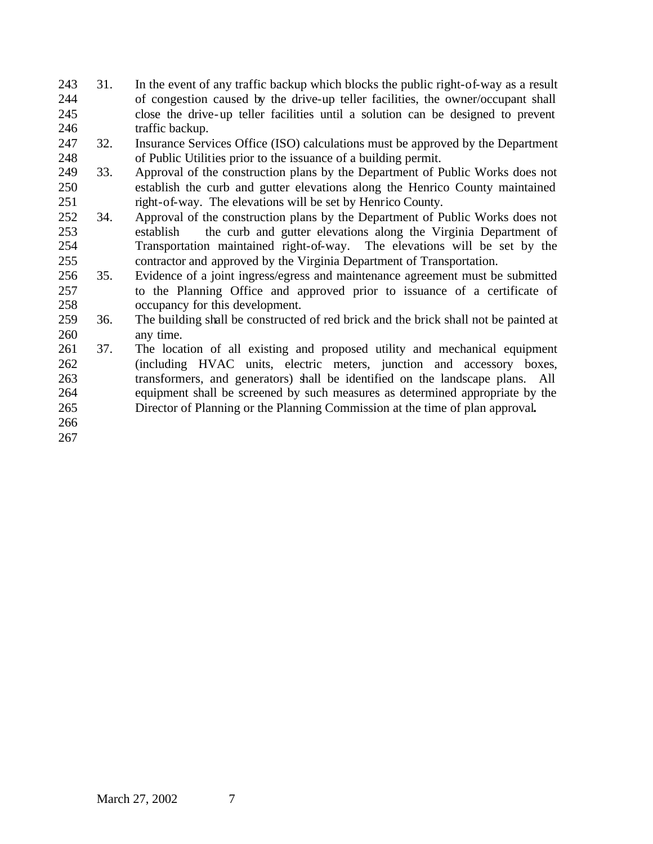- 31. In the event of any traffic backup which blocks the public right-of-way as a result of congestion caused by the drive-up teller facilities, the owner/occupant shall close the drive-up teller facilities until a solution can be designed to prevent 246 traffic backup.
- 32. Insurance Services Office (ISO) calculations must be approved by the Department of Public Utilities prior to the issuance of a building permit.
- 33. Approval of the construction plans by the Department of Public Works does not establish the curb and gutter elevations along the Henrico County maintained 251 right-of-way. The elevations will be set by Henrico County.
- 34. Approval of the construction plans by the Department of Public Works does not establish the curb and gutter elevations along the Virginia Department of Transportation maintained right-of-way. The elevations will be set by the contractor and approved by the Virginia Department of Transportation.
- 35. Evidence of a joint ingress/egress and maintenance agreement must be submitted to the Planning Office and approved prior to issuance of a certificate of occupancy for this development.
- 36. The building shall be constructed of red brick and the brick shall not be painted at any time.
- 37. The location of all existing and proposed utility and mechanical equipment (including HVAC units, electric meters, junction and accessory boxes, transformers, and generators) shall be identified on the landscape plans. All equipment shall be screened by such measures as determined appropriate by the Director of Planning or the Planning Commission at the time of plan approval**.**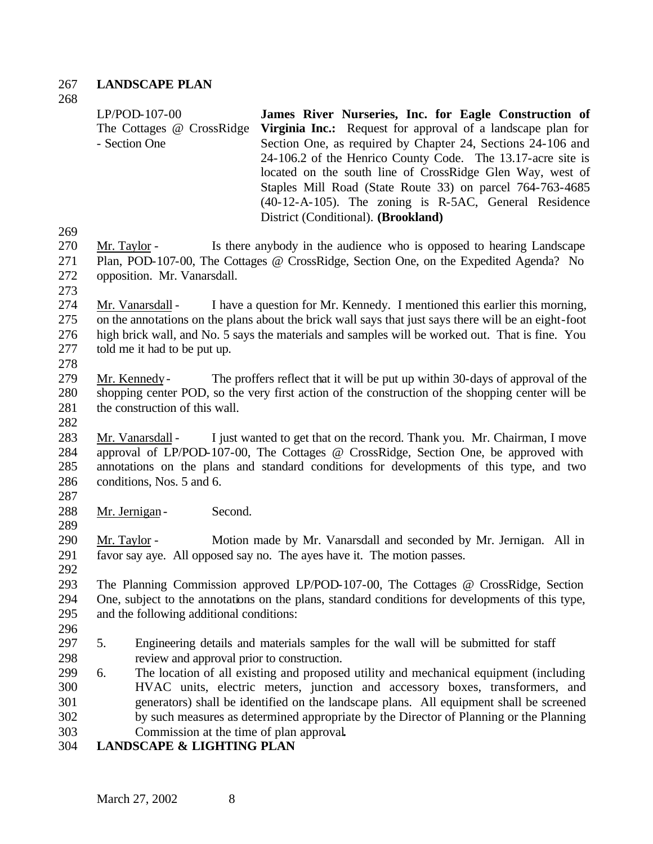#### **LANDSCAPE PLAN**

| $LP/POD-107-00$           | James River Nurseries, Inc. for Eagle Construction of              |
|---------------------------|--------------------------------------------------------------------|
| The Cottages @ CrossRidge | <b>Virginia Inc.:</b> Request for approval of a landscape plan for |
| - Section One             | Section One, as required by Chapter 24, Sections 24-106 and        |
|                           | 24-106.2 of the Henrico County Code. The 13.17-acre site is        |
|                           | located on the south line of CrossRidge Glen Way, west of          |
|                           | Staples Mill Road (State Route 33) on parcel 764-763-4685          |
|                           | $(40-12-A-105)$ . The zoning is R-5AC, General Residence           |
|                           | District (Conditional). (Brookland)                                |
|                           |                                                                    |

- Mr. Taylor Is there anybody in the audience who is opposed to hearing Landscape Plan, POD-107-00, The Cottages @ CrossRidge, Section One, on the Expedited Agenda? No opposition. Mr. Vanarsdall.
- 

 Mr. Vanarsdall - I have a question for Mr. Kennedy. I mentioned this earlier this morning, on the annotations on the plans about the brick wall says that just says there will be an eight-foot high brick wall, and No. 5 says the materials and samples will be worked out. That is fine. You told me it had to be put up. 

 Mr. Kennedy- The proffers reflect that it will be put up within 30-days of approval of the shopping center POD, so the very first action of the construction of the shopping center will be 281 the construction of this wall.

 Mr. Vanarsdall - I just wanted to get that on the record. Thank you. Mr. Chairman, I move approval of LP/POD-107-00, The Cottages @ CrossRidge, Section One, be approved with annotations on the plans and standard conditions for developments of this type, and two conditions, Nos. 5 and 6.

Mr. Jernigan- Second.

 Mr. Taylor - Motion made by Mr. Vanarsdall and seconded by Mr. Jernigan. All in favor say aye. All opposed say no. The ayes have it. The motion passes.

 The Planning Commission approved LP/POD-107-00, The Cottages @ CrossRidge, Section One, subject to the annotations on the plans, standard conditions for developments of this type, and the following additional conditions:

- 
- 5. Engineering details and materials samples for the wall will be submitted for staff review and approval prior to construction.
- 6. The location of all existing and proposed utility and mechanical equipment (including HVAC units, electric meters, junction and accessory boxes, transformers, and generators) shall be identified on the landscape plans. All equipment shall be screened by such measures as determined appropriate by the Director of Planning or the Planning Commission at the time of plan approval**.**
- **LANDSCAPE & LIGHTING PLAN**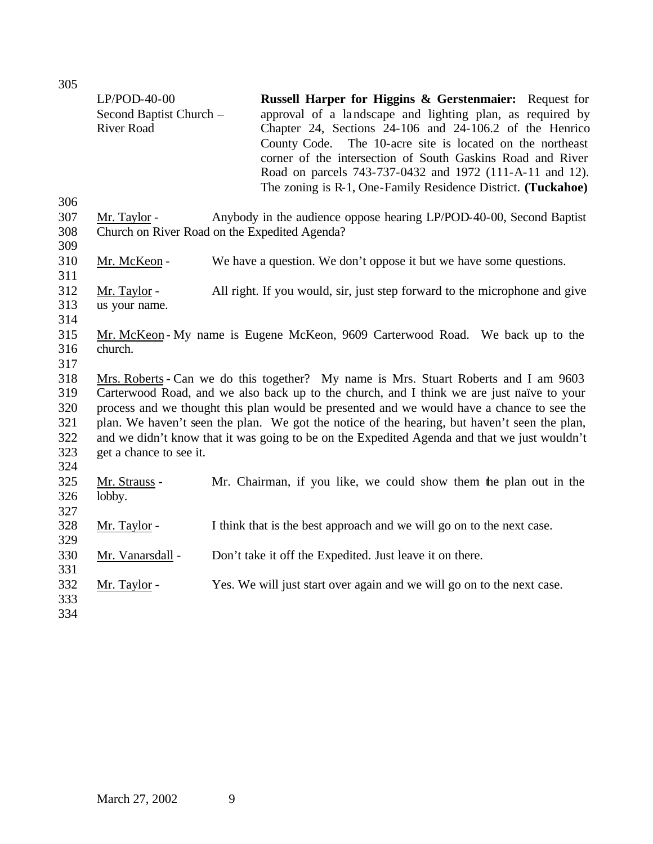| <b>JUJ</b>                                    |                                                                |                                                                                                                                                                                                                                                                                                                                                                                                                                                                                |
|-----------------------------------------------|----------------------------------------------------------------|--------------------------------------------------------------------------------------------------------------------------------------------------------------------------------------------------------------------------------------------------------------------------------------------------------------------------------------------------------------------------------------------------------------------------------------------------------------------------------|
|                                               | $LP/POD-40-00$<br>Second Baptist Church -<br><b>River Road</b> | Russell Harper for Higgins & Gerstenmaier: Request for<br>approval of a landscape and lighting plan, as required by<br>Chapter 24, Sections 24-106 and 24-106.2 of the Henrico<br>County Code.<br>The 10-acre site is located on the northeast<br>corner of the intersection of South Gaskins Road and River<br>Road on parcels 743-737-0432 and 1972 (111-A-11 and 12).<br>The zoning is R-1, One-Family Residence District. (Tuckahoe)                                       |
| 306                                           |                                                                |                                                                                                                                                                                                                                                                                                                                                                                                                                                                                |
| 307<br>308<br>309                             | Mr. Taylor -<br>Church on River Road on the Expedited Agenda?  | Anybody in the audience oppose hearing LP/POD-40-00, Second Baptist                                                                                                                                                                                                                                                                                                                                                                                                            |
| 310<br>311                                    | Mr. McKeon-                                                    | We have a question. We don't oppose it but we have some questions.                                                                                                                                                                                                                                                                                                                                                                                                             |
| 312<br>313<br>314                             | Mr. Taylor -<br>us your name.                                  | All right. If you would, sir, just step forward to the microphone and give                                                                                                                                                                                                                                                                                                                                                                                                     |
| 315<br>316<br>317                             | church.                                                        | Mr. McKeon - My name is Eugene McKeon, 9609 Carterwood Road. We back up to the                                                                                                                                                                                                                                                                                                                                                                                                 |
| 318<br>319<br>320<br>321<br>322<br>323<br>324 | get a chance to see it.                                        | Mrs. Roberts - Can we do this together? My name is Mrs. Stuart Roberts and I am 9603<br>Carterwood Road, and we also back up to the church, and I think we are just naïve to your<br>process and we thought this plan would be presented and we would have a chance to see the<br>plan. We haven't seen the plan. We got the notice of the hearing, but haven't seen the plan,<br>and we didn't know that it was going to be on the Expedited Agenda and that we just wouldn't |
| 325<br>326<br>327                             | Mr. Strauss -<br>lobby.                                        | Mr. Chairman, if you like, we could show them the plan out in the                                                                                                                                                                                                                                                                                                                                                                                                              |
| 328<br>329                                    | Mr. Taylor -                                                   | I think that is the best approach and we will go on to the next case.                                                                                                                                                                                                                                                                                                                                                                                                          |
| 330<br>331                                    | Mr. Vanarsdall -                                               | Don't take it off the Expedited. Just leave it on there.                                                                                                                                                                                                                                                                                                                                                                                                                       |
| 332<br>333<br>334                             | Mr. Taylor -                                                   | Yes. We will just start over again and we will go on to the next case.                                                                                                                                                                                                                                                                                                                                                                                                         |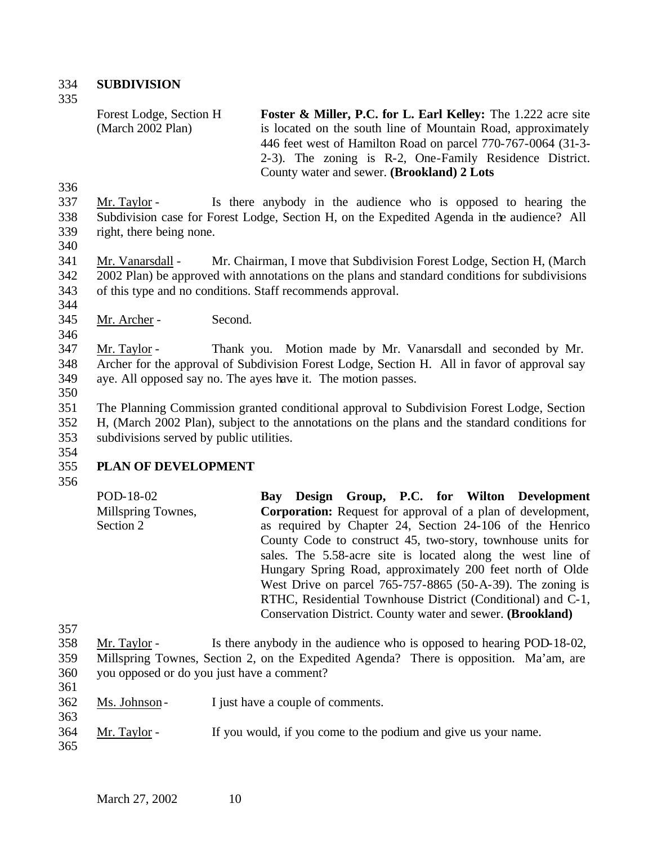334 **SUBDIVISION** 

335

Forest Lodge, Section H (March 2002 Plan) **Foster & Miller, P.C. for L. Earl Kelley:** The 1.222 acre site is located on the south line of Mountain Road, approximately 446 feet west of Hamilton Road on parcel 770-767-0064 (31-3- 2-3). The zoning is R-2, One-Family Residence District. County water and sewer. **(Brookland) 2 Lots**

336

337 Mr. Taylor - Is there anybody in the audience who is opposed to hearing the 338 Subdivision case for Forest Lodge, Section H, on the Expedited Agenda in the audience? All 339 right, there being none.

340

 Mr. Vanarsdall - Mr. Chairman, I move that Subdivision Forest Lodge, Section H, (March 2002 Plan) be approved with annotations on the plans and standard conditions for subdivisions of this type and no conditions. Staff recommends approval. 344

345 Mr. Archer - Second.

346

347 Mr. Taylor - Thank you. Motion made by Mr. Vanarsdall and seconded by Mr. 348 Archer for the approval of Subdivision Forest Lodge, Section H. All in favor of approval say 349 aye. All opposed say no. The ayes have it. The motion passes.

350

 The Planning Commission granted conditional approval to Subdivision Forest Lodge, Section H, (March 2002 Plan), subject to the annotations on the plans and the standard conditions for subdivisions served by public utilities. 354

# 355 **PLAN OF DEVELOPMENT**

356

| POD-18-02          |  |  |  | Bay Design Group, P.C. for Wilton Development                      |
|--------------------|--|--|--|--------------------------------------------------------------------|
| Millspring Townes, |  |  |  | <b>Corporation:</b> Request for approval of a plan of development, |
| Section 2          |  |  |  | as required by Chapter 24, Section 24-106 of the Henrico           |
|                    |  |  |  | County Code to construct 45, two-story, townhouse units for        |
|                    |  |  |  | sales. The 5.58-acre site is located along the west line of        |
|                    |  |  |  | Hungary Spring Road, approximately 200 feet north of Olde          |
|                    |  |  |  | West Drive on parcel $765-757-8865$ (50-A-39). The zoning is       |
|                    |  |  |  | RTHC, Residential Townhouse District (Conditional) and C-1,        |
|                    |  |  |  | Conservation District. County water and sewer. (Brookland)         |
|                    |  |  |  |                                                                    |

 Mr. Taylor - Is there anybody in the audience who is opposed to hearing POD-18-02, Millspring Townes, Section 2, on the Expedited Agenda? There is opposition. Ma'am, are you opposed or do you just have a comment? 361

- 362 Ms. Johnson I just have a couple of comments.
- 364 Mr. Taylor If you would, if you come to the podium and give us your name.
- 365

363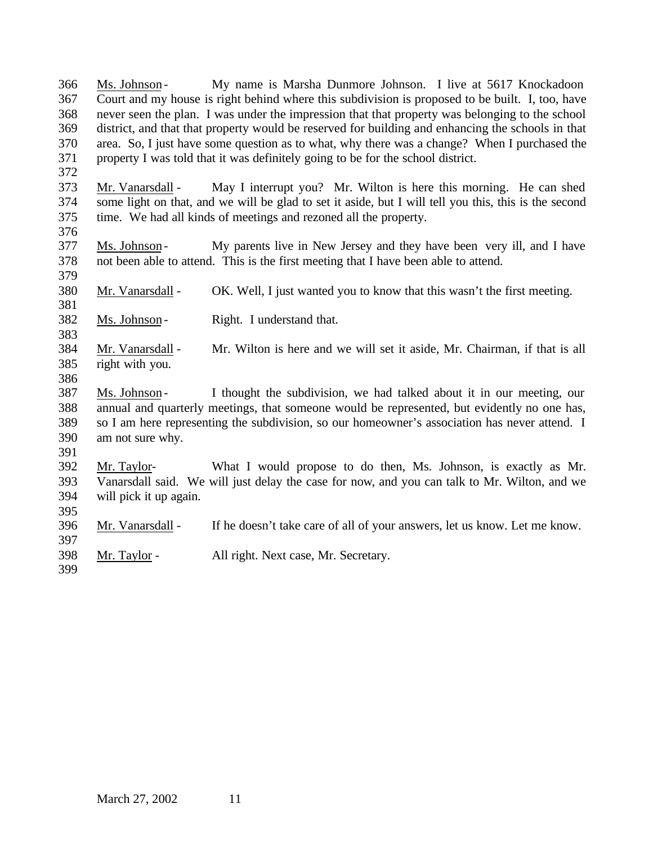Ms. Johnson - My name is Marsha Dunmore Johnson. I live at 5617 Knockadoon Court and my house is right behind where this subdivision is proposed to be built. I, too, have never seen the plan. I was under the impression that that property was belonging to the school district, and that that property would be reserved for building and enhancing the schools in that area. So, I just have some question as to what, why there was a change? When I purchased the property I was told that it was definitely going to be for the school district. Mr. Vanarsdall - May I interrupt you? Mr. Wilton is here this morning. He can shed some light on that, and we will be glad to set it aside, but I will tell you this, this is the second time. We had all kinds of meetings and rezoned all the property. Ms. Johnson - My parents live in New Jersey and they have been very ill, and I have not been able to attend. This is the first meeting that I have been able to attend. Mr. Vanarsdall - OK. Well, I just wanted you to know that this wasn't the first meeting. 382 Ms. Johnson - Right. I understand that. Mr. Vanarsdall - Mr. Wilton is here and we will set it aside, Mr. Chairman, if that is all right with you. Ms. Johnson - I thought the subdivision, we had talked about it in our meeting, our annual and quarterly meetings, that someone would be represented, but evidently no one has, so I am here representing the subdivision, so our homeowner's association has never attend. I am not sure why. Mr. Taylor- What I would propose to do then, Ms. Johnson, is exactly as Mr. Vanarsdall said. We will just delay the case for now, and you can talk to Mr. Wilton, and we will pick it up again. Mr. Vanarsdall - If he doesn't take care of all of your answers, let us know. Let me know. Mr. Taylor - All right. Next case, Mr. Secretary.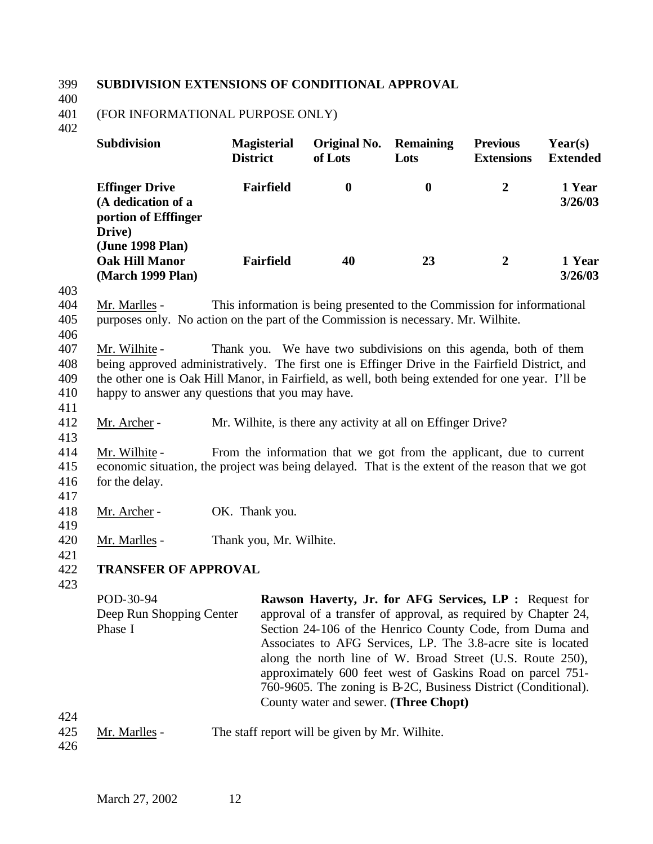#### 399 **SUBDIVISION EXTENSIONS OF CONDITIONAL APPROVAL**

400

#### 401 (FOR INFORMATIONAL PURPOSE ONLY)

402

| <b>Subdivision</b>                                                                                | <b>Magisterial</b><br><b>District</b> | Original No.<br>of Lots | <b>Remaining</b><br>Lots | <b>Previous</b><br><b>Extensions</b> | Year(s)<br><b>Extended</b> |
|---------------------------------------------------------------------------------------------------|---------------------------------------|-------------------------|--------------------------|--------------------------------------|----------------------------|
| <b>Effinger Drive</b><br>(A dedication of a<br>portion of Efffinger<br>Drive)<br>(June 1998 Plan) | <b>Fairfield</b>                      | 0                       | $\bf{0}$                 | 2                                    | 1 Year<br>3/26/03          |
| <b>Oak Hill Manor</b><br>(March 1999 Plan)                                                        | <b>Fairfield</b>                      | 40                      | 23                       | $\overline{2}$                       | 1 Year<br>3/26/03          |

403

404 Mr. Marlles - This information is being presented to the Commission for informational 405 purposes only. No action on the part of the Commission is necessary. Mr. Wilhite.

406

411

413

 Mr. Wilhite - Thank you. We have two subdivisions on this agenda, both of them being approved administratively. The first one is Effinger Drive in the Fairfield District, and the other one is Oak Hill Manor, in Fairfield, as well, both being extended for one year. I'll be happy to answer any questions that you may have.

412 Mr. Archer - Mr. Wilhite, is there any activity at all on Effinger Drive?

414 Mr. Wilhite - From the information that we got from the applicant, due to current 415 economic situation, the project was being delayed. That is the extent of the reason that we got 416 for the delay.

417

419

- 418 Mr. Archer OK. Thank you.
- 420 Mr. Marlles Thank you, Mr. Wilhite.
- 421

#### 422 **TRANSFER OF APPROVAL**

423

POD-30-94 Deep Run Shopping Center Phase I **Rawson Haverty, Jr. for AFG Services, LP : Request for** approval of a transfer of approval, as required by Chapter 24, Section 24-106 of the Henrico County Code, from Duma and Associates to AFG Services, LP. The 3.8-acre site is located along the north line of W. Broad Street (U.S. Route 250), approximately 600 feet west of Gaskins Road on parcel 751- 760-9605. The zoning is B-2C, Business District (Conditional). County water and sewer. **(Three Chopt)**

425 Mr. Marlles - The staff report will be given by Mr. Wilhite.

426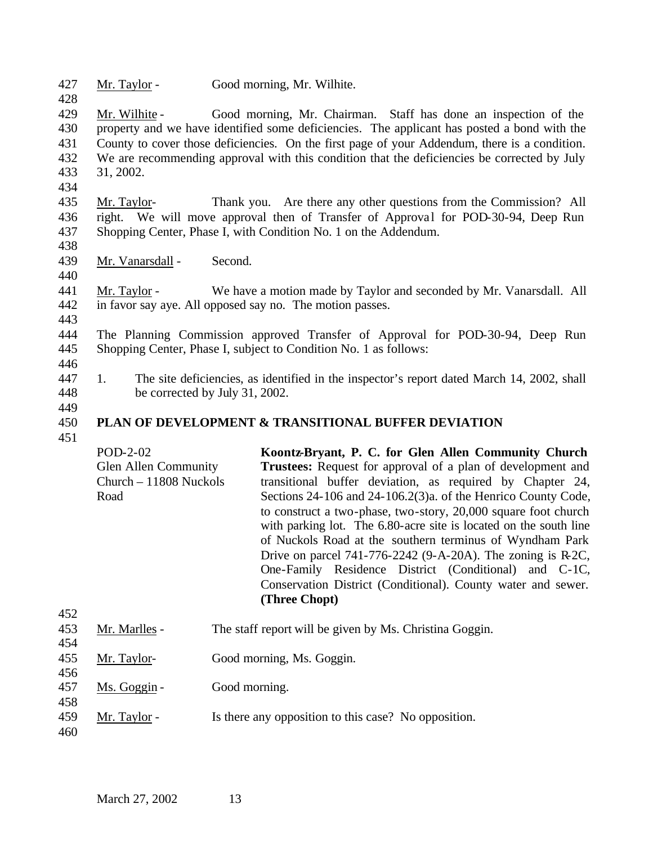427 Mr. Taylor - Good morning, Mr. Wilhite.

 Mr. Wilhite - Good morning, Mr. Chairman. Staff has done an inspection of the property and we have identified some deficiencies. The applicant has posted a bond with the County to cover those deficiencies. On the first page of your Addendum, there is a condition. We are recommending approval with this condition that the deficiencies be corrected by July 31, 2002.

- 435 Mr. Taylor- Thank you. Are there any other questions from the Commission? All 436 right. We will move approval then of Transfer of Approval for POD-30-94, Deep Run 437 Shopping Center, Phase I, with Condition No. 1 on the Addendum.
- 438

440

434

428

- 439 Mr. Vanarsdall Second.
- 441 Mr. Taylor We have a motion made by Taylor and seconded by Mr. Vanarsdall. All 442 in favor say aye. All opposed say no. The motion passes.
- 443
- 444 The Planning Commission approved Transfer of Approval for POD-30-94, Deep Run 445 Shopping Center, Phase I, subject to Condition No. 1 as follows: 446
- 447 1. The site deficiencies, as identified in the inspector's report dated March 14, 2002, shall 448 be corrected by July 31, 2002.
- 449

#### 450 **PLAN OF DEVELOPMENT & TRANSITIONAL BUFFER DEVIATION**

| $POD-2-02$                  | Koontz-Bryant, P. C. for Glen Allen Community Church               |
|-----------------------------|--------------------------------------------------------------------|
| <b>Glen Allen Community</b> | <b>Trustees:</b> Request for approval of a plan of development and |
| $Church - 11808$ Nuckols    | transitional buffer deviation, as required by Chapter 24,          |
| Road                        | Sections 24-106 and 24-106.2(3)a. of the Henrico County Code,      |
|                             | to construct a two-phase, two-story, 20,000 square foot church     |
|                             | with parking lot. The 6.80-acre site is located on the south line  |
|                             | of Nuckols Road at the southern terminus of Wyndham Park           |
|                             | Drive on parcel $741-776-2242$ (9-A-20A). The zoning is R-2C,      |
|                             | One-Family Residence District (Conditional) and C-1C,              |
|                             | Conservation District (Conditional). County water and sewer.       |
|                             | (Three Chopt)                                                      |

| 452 |               |                                                         |
|-----|---------------|---------------------------------------------------------|
| 453 | Mr. Marlles - | The staff report will be given by Ms. Christina Goggin. |
| 454 |               |                                                         |
| 455 | Mr. Taylor-   | Good morning, Ms. Goggin.                               |
| 456 |               |                                                         |
| 457 | Ms. Goggin -  | Good morning.                                           |
| 458 |               |                                                         |
| 459 | Mr. Taylor -  | Is there any opposition to this case? No opposition.    |
| 460 |               |                                                         |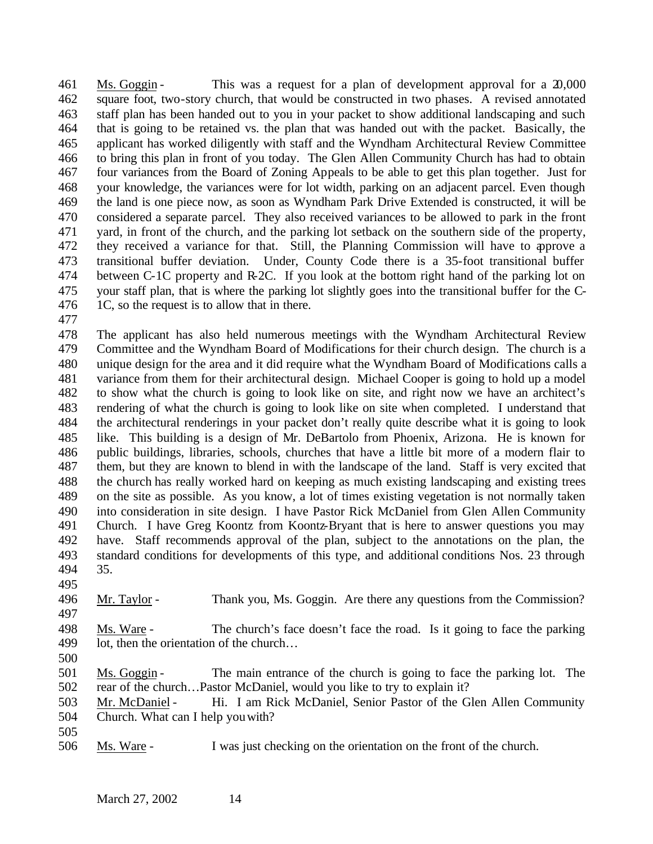Ms. Goggin - This was a request for a plan of development approval for a 20,000 square foot, two-story church, that would be constructed in two phases. A revised annotated staff plan has been handed out to you in your packet to show additional landscaping and such that is going to be retained vs. the plan that was handed out with the packet. Basically, the applicant has worked diligently with staff and the Wyndham Architectural Review Committee to bring this plan in front of you today. The Glen Allen Community Church has had to obtain four variances from the Board of Zoning Appeals to be able to get this plan together. Just for your knowledge, the variances were for lot width, parking on an adjacent parcel. Even though the land is one piece now, as soon as Wyndham Park Drive Extended is constructed, it will be considered a separate parcel. They also received variances to be allowed to park in the front yard, in front of the church, and the parking lot setback on the southern side of the property, they received a variance for that. Still, the Planning Commission will have to approve a transitional buffer deviation. Under, County Code there is a 35-foot transitional buffer 474 between C-1C property and R-2C. If you look at the bottom right hand of the parking lot on your staff plan, that is where the parking lot slightly goes into the transitional buffer for the C-476 1C, so the request is to allow that in there.

 The applicant has also held numerous meetings with the Wyndham Architectural Review Committee and the Wyndham Board of Modifications for their church design. The church is a unique design for the area and it did require what the Wyndham Board of Modifications calls a variance from them for their architectural design. Michael Cooper is going to hold up a model to show what the church is going to look like on site, and right now we have an architect's rendering of what the church is going to look like on site when completed. I understand that the architectural renderings in your packet don't really quite describe what it is going to look like. This building is a design of Mr. DeBartolo from Phoenix, Arizona. He is known for public buildings, libraries, schools, churches that have a little bit more of a modern flair to them, but they are known to blend in with the landscape of the land. Staff is very excited that the church has really worked hard on keeping as much existing landscaping and existing trees on the site as possible. As you know, a lot of times existing vegetation is not normally taken into consideration in site design. I have Pastor Rick McDaniel from Glen Allen Community Church. I have Greg Koontz from Koontz-Bryant that is here to answer questions you may have. Staff recommends approval of the plan, subject to the annotations on the plan, the standard conditions for developments of this type, and additional conditions Nos. 23 through 35.

Mr. Taylor - Thank you, Ms. Goggin. Are there any questions from the Commission?

- Ms. Ware The church's face doesn't face the road. Is it going to face the parking lot, then the orientation of the church…
- 

 Ms. Goggin - The main entrance of the church is going to face the parking lot. The rear of the church…Pastor McDaniel, would you like to try to explain it?

 Mr. McDaniel - Hi. I am Rick McDaniel, Senior Pastor of the Glen Allen Community Church. What can I help you with?

Ms. Ware - I was just checking on the orientation on the front of the church.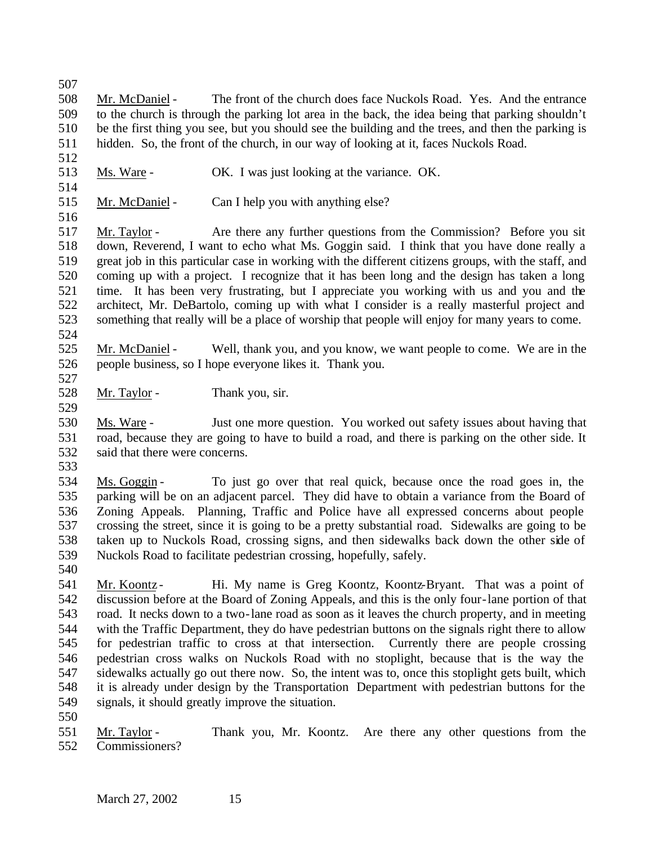Mr. McDaniel - The front of the church does face Nuckols Road. Yes. And the entrance to the church is through the parking lot area in the back, the idea being that parking shouldn't be the first thing you see, but you should see the building and the trees, and then the parking is hidden. So, the front of the church, in our way of looking at it, faces Nuckols Road. 

- Ms. Ware OK. I was just looking at the variance. OK.
- 515 Mr. McDaniel Can I help you with anything else?

 Mr. Taylor - Are there any further questions from the Commission? Before you sit down, Reverend, I want to echo what Ms. Goggin said. I think that you have done really a great job in this particular case in working with the different citizens groups, with the staff, and coming up with a project. I recognize that it has been long and the design has taken a long time. It has been very frustrating, but I appreciate you working with us and you and the architect, Mr. DeBartolo, coming up with what I consider is a really masterful project and something that really will be a place of worship that people will enjoy for many years to come. 

- 525 Mr. McDaniel Well, thank you, and you know, we want people to come. We are in the people business, so I hope everyone likes it. Thank you.
- 528 Mr. Taylor Thank you, sir.
- Ms. Ware Just one more question. You worked out safety issues about having that road, because they are going to have to build a road, and there is parking on the other side. It said that there were concerns.
- 

 Ms. Goggin - To just go over that real quick, because once the road goes in, the parking will be on an adjacent parcel. They did have to obtain a variance from the Board of Zoning Appeals. Planning, Traffic and Police have all expressed concerns about people crossing the street, since it is going to be a pretty substantial road. Sidewalks are going to be taken up to Nuckols Road, crossing signs, and then sidewalks back down the other side of Nuckols Road to facilitate pedestrian crossing, hopefully, safely.

541 Mr. Koontz - Hi. My name is Greg Koontz, Koontz-Bryant. That was a point of discussion before at the Board of Zoning Appeals, and this is the only four-lane portion of that road. It necks down to a two-lane road as soon as it leaves the church property, and in meeting with the Traffic Department, they do have pedestrian buttons on the signals right there to allow for pedestrian traffic to cross at that intersection. Currently there are people crossing pedestrian cross walks on Nuckols Road with no stoplight, because that is the way the sidewalks actually go out there now. So, the intent was to, once this stoplight gets built, which it is already under design by the Transportation Department with pedestrian buttons for the signals, it should greatly improve the situation.

 Mr. Taylor - Thank you, Mr. Koontz. Are there any other questions from the Commissioners?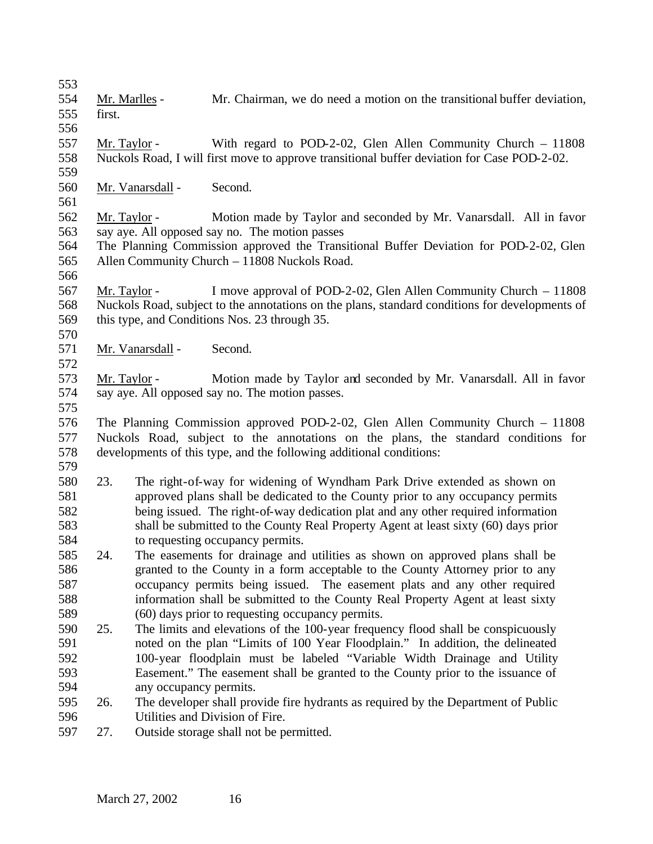- Mr. Marlles Mr. Chairman, we do need a motion on the transitional buffer deviation, first.
- 

- Mr. Taylor With regard to POD-2-02, Glen Allen Community Church 11808 Nuckols Road, I will first move to approve transitional buffer deviation for Case POD-2-02.
- Mr. Vanarsdall Second.
- Mr. Taylor Motion made by Taylor and seconded by Mr. Vanarsdall. All in favor say aye. All opposed say no. The motion passes
- The Planning Commission approved the Transitional Buffer Deviation for POD-2-02, Glen Allen Community Church – 11808 Nuckols Road.
- Mr. Taylor I move approval of POD-2-02, Glen Allen Community Church 11808 Nuckols Road, subject to the annotations on the plans, standard conditions for developments of this type, and Conditions Nos. 23 through 35.
- Mr. Vanarsdall Second.
- Mr. Taylor Motion made by Taylor and seconded by Mr. Vanarsdall. All in favor say aye. All opposed say no. The motion passes.
- 

 The Planning Commission approved POD-2-02, Glen Allen Community Church – 11808 Nuckols Road, subject to the annotations on the plans, the standard conditions for developments of this type, and the following additional conditions: 

- 23. The right-of-way for widening of Wyndham Park Drive extended as shown on approved plans shall be dedicated to the County prior to any occupancy permits being issued. The right-of-way dedication plat and any other required information shall be submitted to the County Real Property Agent at least sixty (60) days prior to requesting occupancy permits.
- 24. The easements for drainage and utilities as shown on approved plans shall be granted to the County in a form acceptable to the County Attorney prior to any occupancy permits being issued. The easement plats and any other required information shall be submitted to the County Real Property Agent at least sixty (60) days prior to requesting occupancy permits.
- 25. The limits and elevations of the 100-year frequency flood shall be conspicuously noted on the plan "Limits of 100 Year Floodplain." In addition, the delineated 100-year floodplain must be labeled "Variable Width Drainage and Utility Easement." The easement shall be granted to the County prior to the issuance of any occupancy permits.
- 26. The developer shall provide fire hydrants as required by the Department of Public Utilities and Division of Fire.
- 27. Outside storage shall not be permitted.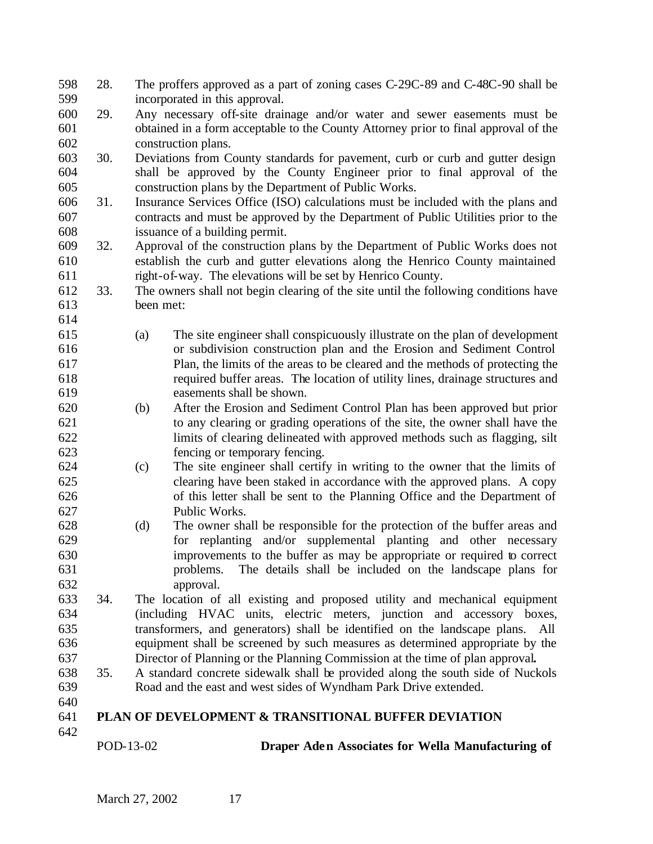|            | POD-13-02 | Draper Aden Associates for Wella Manufacturing of                                   |
|------------|-----------|-------------------------------------------------------------------------------------|
| 641<br>642 |           | <b>PLAN OF DEVELOPMENT &amp; TRANSITIONAL BUFFER DEVIATION</b>                      |
| 640        |           |                                                                                     |
| 639        |           | Road and the east and west sides of Wyndham Park Drive extended.                    |
| 638        | 35.       | A standard concrete sidewalk shall be provided along the south side of Nuckols      |
| 637        |           | Director of Planning or the Planning Commission at the time of plan approval.       |
| 636        |           | equipment shall be screened by such measures as determined appropriate by the       |
| 635        |           | transformers, and generators) shall be identified on the landscape plans. All       |
| 634        |           | (including HVAC units, electric meters, junction and accessory boxes,               |
| 633        | 34.       | The location of all existing and proposed utility and mechanical equipment          |
| 632        |           | approval.                                                                           |
| 631        |           | problems. The details shall be included on the landscape plans for                  |
| 630        |           | improvements to the buffer as may be appropriate or required to correct             |
|            |           |                                                                                     |
| 629        |           | for replanting and/or supplemental planting and other necessary                     |
| 628        |           | The owner shall be responsible for the protection of the buffer areas and<br>(d)    |
| 627        |           | Public Works.                                                                       |
| 626        |           | of this letter shall be sent to the Planning Office and the Department of           |
| 625        |           | clearing have been staked in accordance with the approved plans. A copy             |
| 624        |           | The site engineer shall certify in writing to the owner that the limits of<br>(c)   |
| 623        |           | fencing or temporary fencing.                                                       |
| 622        |           | limits of clearing delineated with approved methods such as flagging, silt          |
| 621        |           | to any clearing or grading operations of the site, the owner shall have the         |
| 620        |           | After the Erosion and Sediment Control Plan has been approved but prior<br>(b)      |
| 619        |           | easements shall be shown.                                                           |
| 618        |           | required buffer areas. The location of utility lines, drainage structures and       |
| 617        |           | Plan, the limits of the areas to be cleared and the methods of protecting the       |
| 616        |           | or subdivision construction plan and the Erosion and Sediment Control               |
| 615        |           | The site engineer shall conspicuously illustrate on the plan of development<br>(a)  |
| 614        |           |                                                                                     |
| 613        |           | been met:                                                                           |
| 612        | 33.       | The owners shall not begin clearing of the site until the following conditions have |
| 611        |           | right-of-way. The elevations will be set by Henrico County.                         |
| 610        |           | establish the curb and gutter elevations along the Henrico County maintained        |
| 609        | 32.       | Approval of the construction plans by the Department of Public Works does not       |
| 608        |           | issuance of a building permit.                                                      |
| 607        |           | contracts and must be approved by the Department of Public Utilities prior to the   |
| 606        | 31.       | Insurance Services Office (ISO) calculations must be included with the plans and    |
| 605        |           | construction plans by the Department of Public Works.                               |
| 604        |           | shall be approved by the County Engineer prior to final approval of the             |
| 603        | 30.       | Deviations from County standards for pavement, curb or curb and gutter design       |
| 602        |           | construction plans.                                                                 |
| 601        |           | obtained in a form acceptable to the County Attorney prior to final approval of the |
| 600        | 29.       | Any necessary off-site drainage and/or water and sewer easements must be            |
| 599        |           | incorporated in this approval.                                                      |
| 598        | 28.       | The proffers approved as a part of zoning cases C-29C-89 and C-48C-90 shall be      |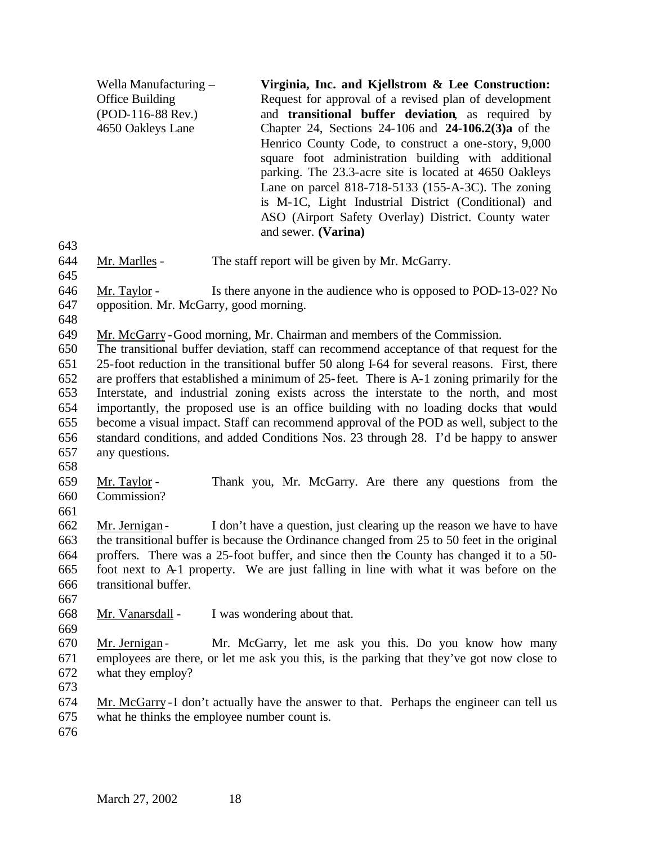Wella Manufacturing – Office Building (POD-116-88 Rev.) 4650 Oakleys Lane **Virginia, Inc. and Kjellstrom & Lee Construction:**  Request for approval of a revised plan of development and **transitional buffer deviation**, as required by Chapter 24, Sections 24-106 and **24-106.2(3)a** of the Henrico County Code, to construct a one-story, 9,000 square foot administration building with additional parking. The 23.3-acre site is located at 4650 Oakleys Lane on parcel 818-718-5133 (155-A-3C). The zoning is M-1C, Light Industrial District (Conditional) and ASO (Airport Safety Overlay) District. County water and sewer. **(Varina)**

 Mr. Marlles - The staff report will be given by Mr. McGarry. 

 Mr. Taylor - Is there anyone in the audience who is opposed to POD-13-02? No opposition. Mr. McGarry, good morning.

Mr. McGarry -Good morning, Mr. Chairman and members of the Commission.

 The transitional buffer deviation, staff can recommend acceptance of that request for the 25-foot reduction in the transitional buffer 50 along I-64 for several reasons. First, there are proffers that established a minimum of 25-feet. There is A-1 zoning primarily for the Interstate, and industrial zoning exists across the interstate to the north, and most importantly, the proposed use is an office building with no loading docks that would become a visual impact. Staff can recommend approval of the POD as well, subject to the standard conditions, and added Conditions Nos. 23 through 28. I'd be happy to answer any questions.

 Mr. Taylor - Thank you, Mr. McGarry. Are there any questions from the Commission?

 Mr. Jernigan - I don't have a question, just clearing up the reason we have to have the transitional buffer is because the Ordinance changed from 25 to 50 feet in the original proffers. There was a 25-foot buffer, and since then the County has changed it to a 50- foot next to A-1 property. We are just falling in line with what it was before on the transitional buffer.

Mr. Vanarsdall - I was wondering about that.

 Mr. Jernigan - Mr. McGarry, let me ask you this. Do you know how many employees are there, or let me ask you this, is the parking that they've got now close to what they employ?

 Mr. McGarry -I don't actually have the answer to that. Perhaps the engineer can tell us what he thinks the employee number count is.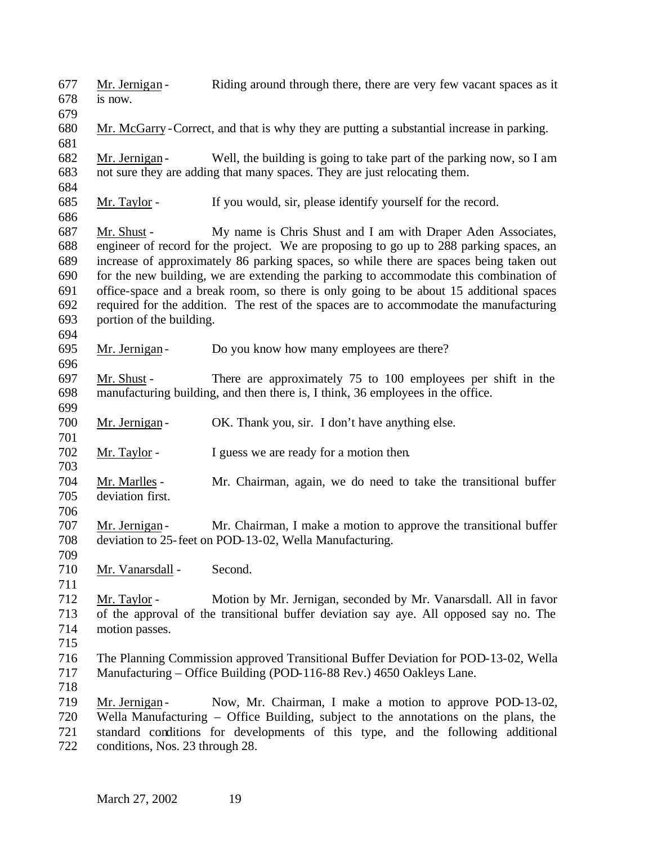Mr. Jernigan - Riding around through there, there are very few vacant spaces as it is now. Mr. McGarry -Correct, and that is why they are putting a substantial increase in parking. Mr. Jernigan - Well, the building is going to take part of the parking now, so I am not sure they are adding that many spaces. They are just relocating them. Mr. Taylor - If you would, sir, please identify yourself for the record. Mr. Shust - My name is Chris Shust and I am with Draper Aden Associates, engineer of record for the project. We are proposing to go up to 288 parking spaces, an increase of approximately 86 parking spaces, so while there are spaces being taken out for the new building, we are extending the parking to accommodate this combination of office-space and a break room, so there is only going to be about 15 additional spaces required for the addition. The rest of the spaces are to accommodate the manufacturing portion of the building. 695 Mr. Jernigan - Do you know how many employees are there? Mr. Shust - There are approximately 75 to 100 employees per shift in the manufacturing building, and then there is, I think, 36 employees in the office. 700 Mr. Jernigan - OK. Thank you, sir. I don't have anything else. Mr. Taylor - I guess we are ready for a motion then. Mr. Marlles - Mr. Chairman, again, we do need to take the transitional buffer deviation first. Mr. Jernigan - Mr. Chairman, I make a motion to approve the transitional buffer deviation to 25-feet on POD-13-02, Wella Manufacturing. Mr. Vanarsdall - Second. Mr. Taylor - Motion by Mr. Jernigan, seconded by Mr. Vanarsdall. All in favor of the approval of the transitional buffer deviation say aye. All opposed say no. The motion passes. The Planning Commission approved Transitional Buffer Deviation for POD-13-02, Wella Manufacturing – Office Building (POD-116-88 Rev.) 4650 Oakleys Lane. 719 Mr. Jernigan - Now, Mr. Chairman, I make a motion to approve POD-13-02, Wella Manufacturing – Office Building, subject to the annotations on the plans, the standard conditions for developments of this type, and the following additional conditions, Nos. 23 through 28.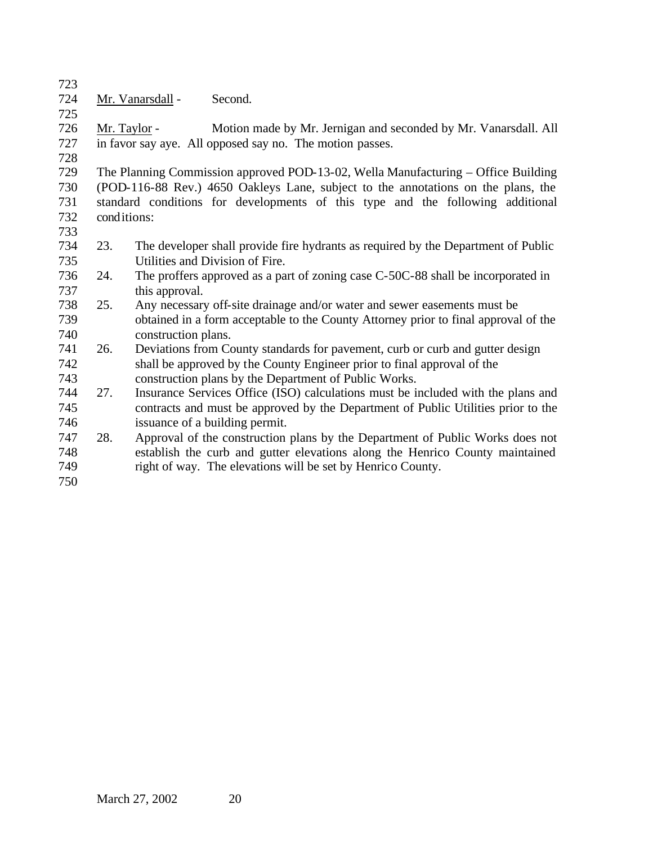Mr. Vanarsdall - Second.

 Mr. Taylor - Motion made by Mr. Jernigan and seconded by Mr. Vanarsdall. All in favor say aye. All opposed say no. The motion passes.

 The Planning Commission approved POD-13-02, Wella Manufacturing – Office Building (POD-116-88 Rev.) 4650 Oakleys Lane, subject to the annotations on the plans, the standard conditions for developments of this type and the following additional conditions:

- 
- 23. The developer shall provide fire hydrants as required by the Department of Public Utilities and Division of Fire.
- 24. The proffers approved as a part of zoning case C-50C-88 shall be incorporated in this approval.
- 25. Any necessary off-site drainage and/or water and sewer easements must be obtained in a form acceptable to the County Attorney prior to final approval of the
- 740 construction plans.<br>741 26. Deviations from Co 26. Deviations from County standards for pavement, curb or curb and gutter design shall be approved by the County Engineer prior to final approval of the construction plans by the Department of Public Works.
- 27. Insurance Services Office (ISO) calculations must be included with the plans and contracts and must be approved by the Department of Public Utilities prior to the issuance of a building permit.
- 28. Approval of the construction plans by the Department of Public Works does not establish the curb and gutter elevations along the Henrico County maintained right of way. The elevations will be set by Henrico County.
-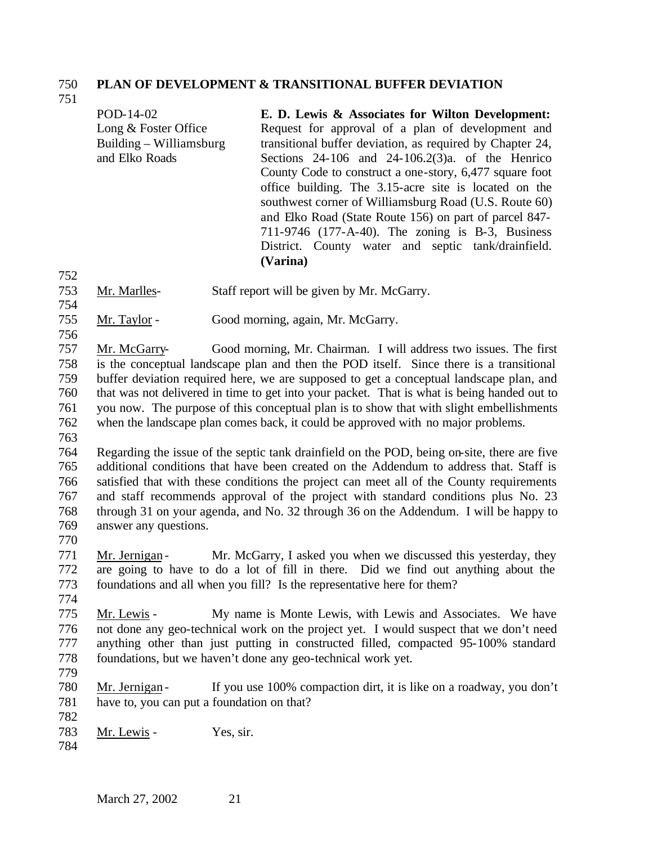#### **PLAN OF DEVELOPMENT & TRANSITIONAL BUFFER DEVIATION**

POD-14-02 Long & Foster Office Building – Williamsburg and Elko Roads **E. D. Lewis & Associates for Wilton Development:**  Request for approval of a plan of development and transitional buffer deviation, as required by Chapter 24, Sections 24-106 and 24-106.2(3)a. of the Henrico County Code to construct a one-story, 6,477 square foot office building. The 3.15-acre site is located on the southwest corner of Williamsburg Road (U.S. Route 60) and Elko Road (State Route 156) on part of parcel 847- 711-9746 (177-A-40). The zoning is B-3, Business District. County water and septic tank/drainfield. **(Varina)**

- Mr. Marlles- Staff report will be given by Mr. McGarry.
- Mr. Taylor Good morning, again, Mr. McGarry.
- 

 Mr. McGarry- Good morning, Mr. Chairman. I will address two issues. The first is the conceptual landscape plan and then the POD itself. Since there is a transitional buffer deviation required here, we are supposed to get a conceptual landscape plan, and that was not delivered in time to get into your packet. That is what is being handed out to you now. The purpose of this conceptual plan is to show that with slight embellishments when the landscape plan comes back, it could be approved with no major problems.

 Regarding the issue of the septic tank drainfield on the POD, being on-site, there are five additional conditions that have been created on the Addendum to address that. Staff is satisfied that with these conditions the project can meet all of the County requirements and staff recommends approval of the project with standard conditions plus No. 23 through 31 on your agenda, and No. 32 through 36 on the Addendum. I will be happy to answer any questions.

771 Mr. Jernigan - Mr. McGarry, I asked you when we discussed this yesterday, they are going to have to do a lot of fill in there. Did we find out anything about the foundations and all when you fill? Is the representative here for them?

- Mr. Lewis - My name is Monte Lewis, with Lewis and Associates. We have not done any geo-technical work on the project yet. I would suspect that we don't need anything other than just putting in constructed filled, compacted 95-100% standard foundations, but we haven't done any geo-technical work yet.
	-

 Mr. Jernigan - If you use 100% compaction dirt, it is like on a roadway, you don't have to, you can put a foundation on that? 

- 783 Mr. Lewis Yes, sir.
-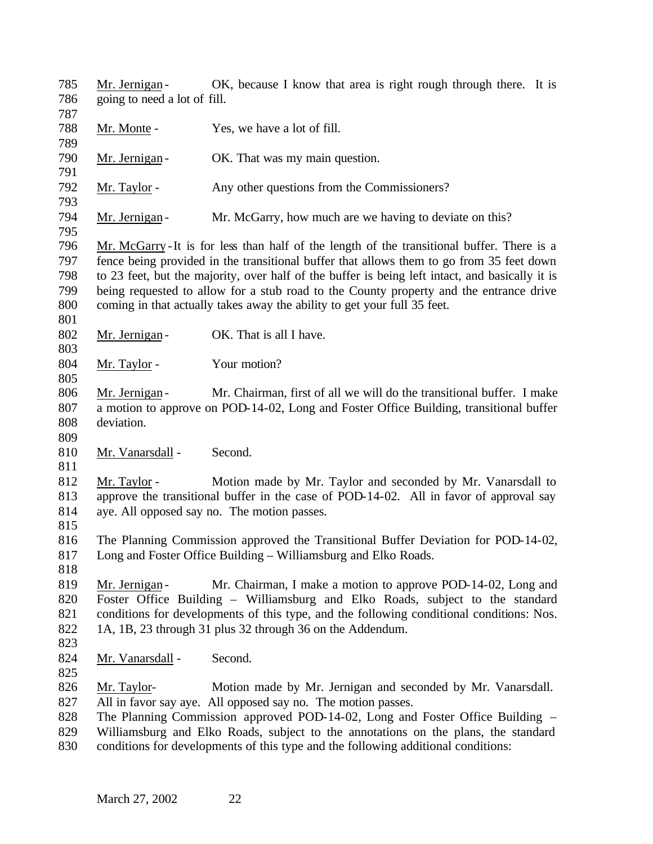785 Mr. Jernigan - OK, because I know that area is right rough through there. It is going to need a lot of fill. 788 Mr. Monte - Yes, we have a lot of fill. 790 Mr. Jernigan - OK. That was my main question. 792 Mr. Taylor - Any other questions from the Commissioners? 794 Mr. Jernigan - Mr. McGarry, how much are we having to deviate on this? Mr. McGarry -It is for less than half of the length of the transitional buffer. There is a fence being provided in the transitional buffer that allows them to go from 35 feet down to 23 feet, but the majority, over half of the buffer is being left intact, and basically it is being requested to allow for a stub road to the County property and the entrance drive coming in that actually takes away the ability to get your full 35 feet. 802 Mr. Jernigan - OK. That is all I have. 804 Mr. Taylor - Your motion? 806 Mr. Jernigan - Mr. Chairman, first of all we will do the transitional buffer. I make a motion to approve on POD-14-02, Long and Foster Office Building, transitional buffer deviation. 810 Mr. Vanarsdall - Second. Mr. Taylor - Motion made by Mr. Taylor and seconded by Mr. Vanarsdall to approve the transitional buffer in the case of POD-14-02. All in favor of approval say aye. All opposed say no. The motion passes. The Planning Commission approved the Transitional Buffer Deviation for POD-14-02, Long and Foster Office Building – Williamsburg and Elko Roads. 819 Mr. Jernigan - Mr. Chairman, I make a motion to approve POD-14-02, Long and Foster Office Building – Williamsburg and Elko Roads, subject to the standard conditions for developments of this type, and the following conditional conditions: Nos. 1A, 1B, 23 through 31 plus 32 through 36 on the Addendum. 824 Mr. Vanarsdall - Second. Mr. Taylor- Motion made by Mr. Jernigan and seconded by Mr. Vanarsdall. All in favor say aye. All opposed say no. The motion passes. The Planning Commission approved POD-14-02, Long and Foster Office Building – Williamsburg and Elko Roads, subject to the annotations on the plans, the standard conditions for developments of this type and the following additional conditions: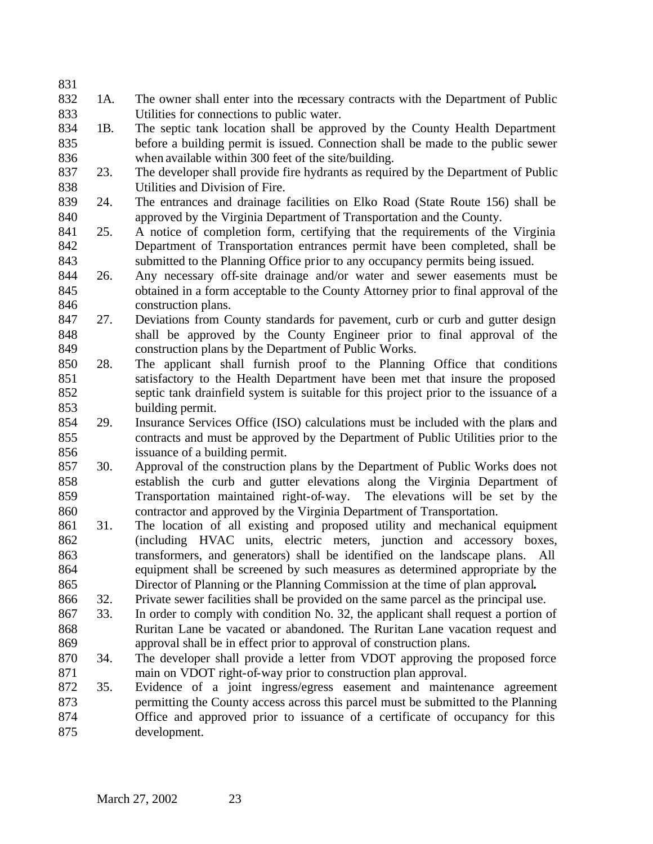- 1A. The owner shall enter into the necessary contracts with the Department of Public Utilities for connections to public water.
- 1B. The septic tank location shall be approved by the County Health Department before a building permit is issued. Connection shall be made to the public sewer when available within 300 feet of the site/building.
- 23. The developer shall provide fire hydrants as required by the Department of Public Utilities and Division of Fire.
- 24. The entrances and drainage facilities on Elko Road (State Route 156) shall be approved by the Virginia Department of Transportation and the County.
- 25. A notice of completion form, certifying that the requirements of the Virginia Department of Transportation entrances permit have been completed, shall be submitted to the Planning Office prior to any occupancy permits being issued.
- 26. Any necessary off-site drainage and/or water and sewer easements must be obtained in a form acceptable to the County Attorney prior to final approval of the construction plans.
- 27. Deviations from County standards for pavement, curb or curb and gutter design shall be approved by the County Engineer prior to final approval of the construction plans by the Department of Public Works.
- 28. The applicant shall furnish proof to the Planning Office that conditions satisfactory to the Health Department have been met that insure the proposed septic tank drainfield system is suitable for this project prior to the issuance of a building permit.
- 29. Insurance Services Office (ISO) calculations must be included with the plans and contracts and must be approved by the Department of Public Utilities prior to the issuance of a building permit.
- 30. Approval of the construction plans by the Department of Public Works does not establish the curb and gutter elevations along the Virginia Department of Transportation maintained right-of-way. The elevations will be set by the contractor and approved by the Virginia Department of Transportation.
- 31. The location of all existing and proposed utility and mechanical equipment (including HVAC units, electric meters, junction and accessory boxes, transformers, and generators) shall be identified on the landscape plans. All equipment shall be screened by such measures as determined appropriate by the Director of Planning or the Planning Commission at the time of plan approval**.**
- 32. Private sewer facilities shall be provided on the same parcel as the principal use.
- 33. In order to comply with condition No. 32, the applicant shall request a portion of Ruritan Lane be vacated or abandoned. The Ruritan Lane vacation request and approval shall be in effect prior to approval of construction plans.
- 34. The developer shall provide a letter from VDOT approving the proposed force main on VDOT right-of-way prior to construction plan approval.
- 35. Evidence of a joint ingress/egress easement and maintenance agreement permitting the County access across this parcel must be submitted to the Planning Office and approved prior to issuance of a certificate of occupancy for this development.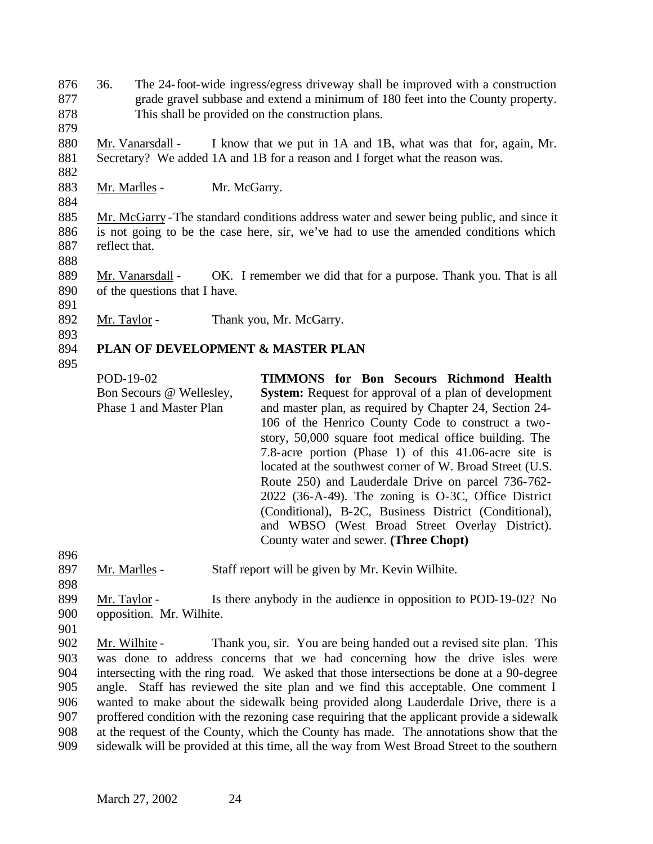876 36. The 24-foot-wide ingress/egress driveway shall be improved with a construction 877 grade gravel subbase and extend a minimum of 180 feet into the County property. 878 This shall be provided on the construction plans.

880 Mr. Vanarsdall - I know that we put in 1A and 1B, what was that for, again, Mr. 881 Secretary? We added 1A and 1B for a reason and I forget what the reason was.

883 Mr. Marlles - Mr. McGarry.

884

882

879

885 Mr. McGarry -The standard conditions address water and sewer being public, and since it 886 is not going to be the case here, sir, we've had to use the amended conditions which 887 reflect that.

888

889 Mr. Vanarsdall - OK. I remember we did that for a purpose. Thank you. That is all 890 of the questions that I have.

891

892 Mr. Taylor - Thank you, Mr. McGarry.

#### 893 894 **PLAN OF DEVELOPMENT & MASTER PLAN**

895

POD-19-02 Bon Secours @ Wellesley, Phase 1 and Master Plan **TIMMONS for Bon Secours Richmond Health System:** Request for approval of a plan of development and master plan, as required by Chapter 24, Section 24- 106 of the Henrico County Code to construct a twostory, 50,000 square foot medical office building. The 7.8-acre portion (Phase 1) of this 41.06-acre site is located at the southwest corner of W. Broad Street (U.S. Route 250) and Lauderdale Drive on parcel 736-762- 2022 (36-A-49). The zoning is O-3C, Office District (Conditional), B-2C, Business District (Conditional), and WBSO (West Broad Street Overlay District). County water and sewer. **(Three Chopt)**

896

897 Mr. Marlles - Staff report will be given by Mr. Kevin Wilhite.

898

899 Mr. Taylor - Is there anybody in the audience in opposition to POD-19-02? No 900 opposition. Mr. Wilhite.

901

 Mr. Wilhite - Thank you, sir. You are being handed out a revised site plan. This 903 was done to address concerns that we had concerning how the drive isles were<br>904 intersecting with the ring road. We asked that those intersections be done at a 90-degree intersecting with the ring road. We asked that those intersections be done at a 90-degree angle. Staff has reviewed the site plan and we find this acceptable. One comment I wanted to make about the sidewalk being provided along Lauderdale Drive, there is a proffered condition with the rezoning case requiring that the applicant provide a sidewalk at the request of the County, which the County has made. The annotations show that the sidewalk will be provided at this time, all the way from West Broad Street to the southern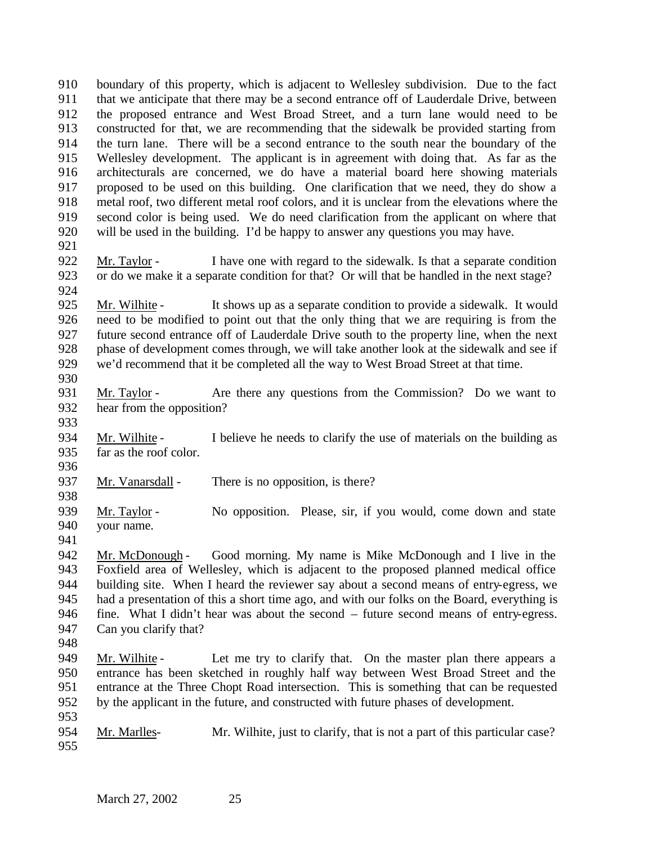boundary of this property, which is adjacent to Wellesley subdivision. Due to the fact that we anticipate that there may be a second entrance off of Lauderdale Drive, between the proposed entrance and West Broad Street, and a turn lane would need to be constructed for that, we are recommending that the sidewalk be provided starting from the turn lane. There will be a second entrance to the south near the boundary of the Wellesley development. The applicant is in agreement with doing that. As far as the architecturals are concerned, we do have a material board here showing materials proposed to be used on this building. One clarification that we need, they do show a metal roof, two different metal roof colors, and it is unclear from the elevations where the second color is being used. We do need clarification from the applicant on where that will be used in the building. I'd be happy to answer any questions you may have.

- 
- Mr. Taylor I have one with regard to the sidewalk. Is that a separate condition or do we make it a separate condition for that? Or will that be handled in the next stage?

 Mr. Wilhite - It shows up as a separate condition to provide a sidewalk. It would need to be modified to point out that the only thing that we are requiring is from the future second entrance off of Lauderdale Drive south to the property line, when the next phase of development comes through, we will take another look at the sidewalk and see if we'd recommend that it be completed all the way to West Broad Street at that time.

- 
- Mr. Taylor Are there any questions from the Commission? Do we want to hear from the opposition?
- 934 Mr. Wilhite I believe he needs to clarify the use of materials on the building as far as the roof color.
- 937 Mr. Vanarsdall There is no opposition, is there?
- Mr. Taylor No opposition. Please, sir, if you would, come down and state your name.
- 

 Mr. McDonough - Good morning. My name is Mike McDonough and I live in the Foxfield area of Wellesley, which is adjacent to the proposed planned medical office building site. When I heard the reviewer say about a second means of entry-egress, we had a presentation of this a short time ago, and with our folks on the Board, everything is fine. What I didn't hear was about the second – future second means of entry-egress. Can you clarify that?

- 
- 949 Mr. Wilhite Let me try to clarify that. On the master plan there appears a entrance has been sketched in roughly half way between West Broad Street and the entrance at the Three Chopt Road intersection. This is something that can be requested by the applicant in the future, and constructed with future phases of development.
- Mr. Marlles- Mr. Wilhite, just to clarify, that is not a part of this particular case?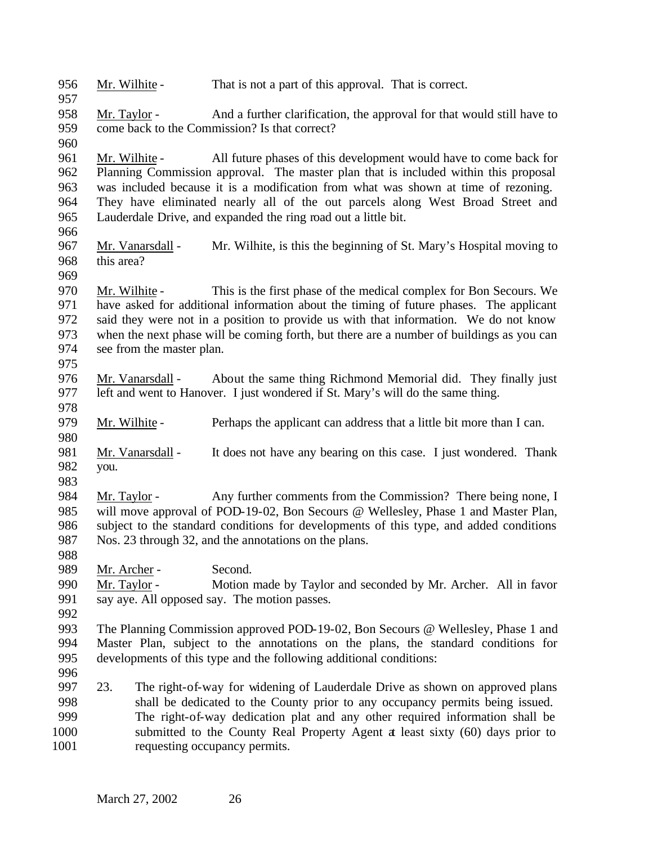| 956<br>957 | Mr. Wilhite -             | That is not a part of this approval. That is correct.                                    |
|------------|---------------------------|------------------------------------------------------------------------------------------|
| 958        | Mr. Taylor -              | And a further clarification, the approval for that would still have to                   |
| 959        |                           | come back to the Commission? Is that correct?                                            |
| 960        |                           |                                                                                          |
| 961        | Mr. Wilhite -             | All future phases of this development would have to come back for                        |
| 962        |                           | Planning Commission approval. The master plan that is included within this proposal      |
| 963        |                           | was included because it is a modification from what was shown at time of rezoning.       |
| 964        |                           | They have eliminated nearly all of the out parcels along West Broad Street and           |
| 965        |                           | Lauderdale Drive, and expanded the ring road out a little bit.                           |
| 966        |                           |                                                                                          |
| 967        | Mr. Vanarsdall -          | Mr. Wilhite, is this the beginning of St. Mary's Hospital moving to                      |
| 968        | this area?                |                                                                                          |
| 969        |                           |                                                                                          |
| 970        | Mr. Wilhite -             | This is the first phase of the medical complex for Bon Secours. We                       |
| 971        |                           | have asked for additional information about the timing of future phases. The applicant   |
| 972        |                           | said they were not in a position to provide us with that information. We do not know     |
| 973        |                           | when the next phase will be coming forth, but there are a number of buildings as you can |
| 974        | see from the master plan. |                                                                                          |
| 975        |                           |                                                                                          |
| 976        | Mr. Vanarsdall -          | About the same thing Richmond Memorial did. They finally just                            |
| 977        |                           | left and went to Hanover. I just wondered if St. Mary's will do the same thing.          |
| 978        |                           |                                                                                          |
| 979        | Mr. Wilhite -             | Perhaps the applicant can address that a little bit more than I can.                     |
| 980        |                           |                                                                                          |
| 981        | Mr. Vanarsdall -          | It does not have any bearing on this case. I just wondered. Thank                        |
| 982        | you.                      |                                                                                          |
| 983        |                           |                                                                                          |
| 984        | Mr. Taylor -              | Any further comments from the Commission? There being none, I                            |
| 985        |                           | will move approval of POD-19-02, Bon Secours @ Wellesley, Phase 1 and Master Plan,       |
| 986        |                           | subject to the standard conditions for developments of this type, and added conditions   |
| 987        |                           | Nos. 23 through 32, and the annotations on the plans.                                    |
| 988        |                           |                                                                                          |
| 989        | Mr. Archer -              | Second.                                                                                  |
| 990        | Mr. Taylor -              | Motion made by Taylor and seconded by Mr. Archer. All in favor                           |
| 991        |                           | say aye. All opposed say. The motion passes.                                             |
| 992        |                           |                                                                                          |
| 993        |                           | The Planning Commission approved POD-19-02, Bon Secours @ Wellesley, Phase 1 and         |
| 994        |                           | Master Plan, subject to the annotations on the plans, the standard conditions for        |
| 995        |                           | developments of this type and the following additional conditions:                       |
| 996        |                           |                                                                                          |
| 997        | 23.                       | The right-of-way for widening of Lauderdale Drive as shown on approved plans             |
| 998        |                           | shall be dedicated to the County prior to any occupancy permits being issued.            |
| 999        |                           | The right-of-way dedication plat and any other required information shall be             |
| 1000       |                           | submitted to the County Real Property Agent a least sixty (60) days prior to             |
| 1001       |                           | requesting occupancy permits.                                                            |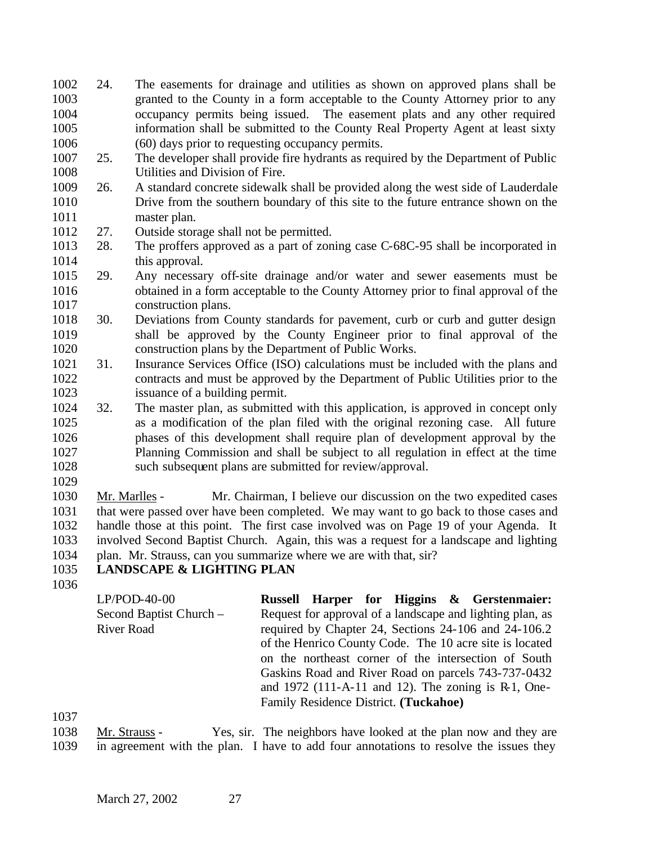- 24. The easements for drainage and utilities as shown on approved plans shall be granted to the County in a form acceptable to the County Attorney prior to any occupancy permits being issued. The easement plats and any other required information shall be submitted to the County Real Property Agent at least sixty 1006 (60) days prior to requesting occupancy permits.<br>1007 25. The developer shall provide fire hydrants as requ
- 25. The developer shall provide fire hydrants as required by the Department of Public Utilities and Division of Fire.
- 26. A standard concrete sidewalk shall be provided along the west side of Lauderdale Drive from the southern boundary of this site to the future entrance shown on the master plan.
- 27. Outside storage shall not be permitted.
- 28. The proffers approved as a part of zoning case C-68C-95 shall be incorporated in 1014 this approval.
- 29. Any necessary off-site drainage and/or water and sewer easements must be obtained in a form acceptable to the County Attorney prior to final approval of the construction plans.
- 30. Deviations from County standards for pavement, curb or curb and gutter design shall be approved by the County Engineer prior to final approval of the construction plans by the Department of Public Works.
- 31. Insurance Services Office (ISO) calculations must be included with the plans and contracts and must be approved by the Department of Public Utilities prior to the issuance of a building permit.
- 32. The master plan, as submitted with this application, is approved in concept only as a modification of the plan filed with the original rezoning case. All future phases of this development shall require plan of development approval by the Planning Commission and shall be subject to all regulation in effect at the time such subsequent plans are submitted for review/approval.
- 

 Mr. Marlles - Mr. Chairman, I believe our discussion on the two expedited cases that were passed over have been completed. We may want to go back to those cases and handle those at this point. The first case involved was on Page 19 of your Agenda. It involved Second Baptist Church. Again, this was a request for a landscape and lighting plan. Mr. Strauss, can you summarize where we are with that, sir?

# **LANDSCAPE & LIGHTING PLAN**

LP/POD-40-00 Second Baptist Church – River Road **Russell Harper for Higgins & Gerstenmaier:**  Request for approval of a landscape and lighting plan, as required by Chapter 24, Sections 24-106 and 24-106.2 of the Henrico County Code. The 10 acre site is located on the northeast corner of the intersection of South Gaskins Road and River Road on parcels 743-737-0432 and 1972 (111-A-11 and 12). The zoning is R-1, One-Family Residence District. **(Tuckahoe)**

 Mr. Strauss - Yes, sir. The neighbors have looked at the plan now and they are in agreement with the plan. I have to add four annotations to resolve the issues they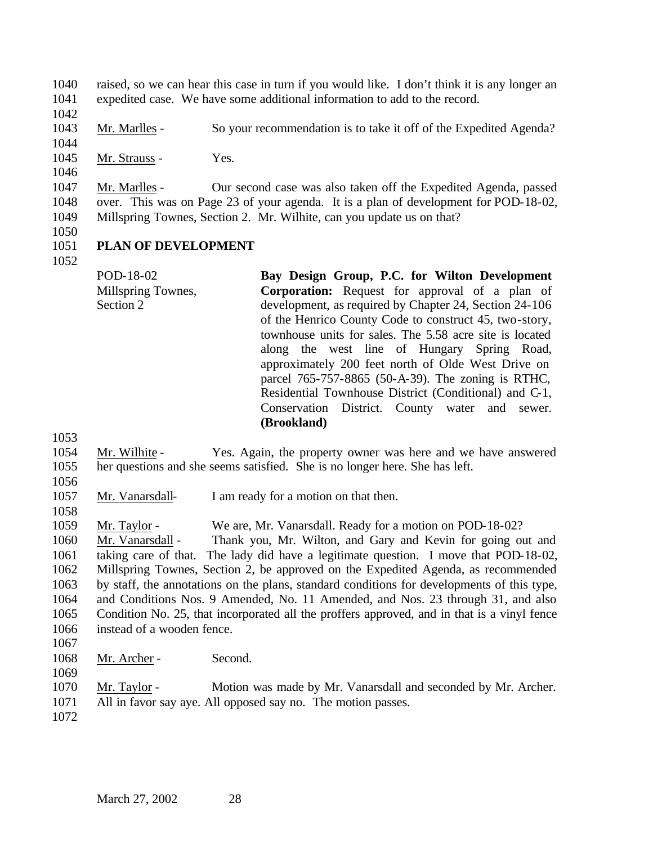raised, so we can hear this case in turn if you would like. I don't think it is any longer an expedited case. We have some additional information to add to the record.

Mr. Marlles - So your recommendation is to take it off of the Expedited Agenda?

1045 Mr. Strauss - Yes.

 Mr. Marlles - Our second case was also taken off the Expedited Agenda, passed over. This was on Page 23 of your agenda. It is a plan of development for POD-18-02, Millspring Townes, Section 2. Mr. Wilhite, can you update us on that?

# **PLAN OF DEVELOPMENT**

POD-18-02 Millspring Townes, Section 2 **Bay Design Group, P.C. for Wilton Development Corporation:** Request for approval of a plan of development, as required by Chapter 24, Section 24-106 of the Henrico County Code to construct 45, two-story, townhouse units for sales. The 5.58 acre site is located along the west line of Hungary Spring Road, approximately 200 feet north of Olde West Drive on parcel 765-757-8865 (50-A-39). The zoning is RTHC, Residential Townhouse District (Conditional) and C-1, Conservation District. County water and sewer. **(Brookland)**

 Mr. Wilhite - Yes. Again, the property owner was here and we have answered her questions and she seems satisfied. She is no longer here. She has left.

 Mr. Vanarsdall- I am ready for a motion on that then. 

Mr. Taylor - We are, Mr. Vanarsdall. Ready for a motion on POD-18-02?

 Mr. Vanarsdall - Thank you, Mr. Wilton, and Gary and Kevin for going out and taking care of that. The lady did have a legitimate question. I move that POD-18-02, Millspring Townes, Section 2, be approved on the Expedited Agenda, as recommended by staff, the annotations on the plans, standard conditions for developments of this type, and Conditions Nos. 9 Amended, No. 11 Amended, and Nos. 23 through 31, and also Condition No. 25, that incorporated all the proffers approved, and in that is a vinyl fence instead of a wooden fence.

- 
- Mr. Archer Second.
- 

 Mr. Taylor - Motion was made by Mr. Vanarsdall and seconded by Mr. Archer. All in favor say aye. All opposed say no. The motion passes.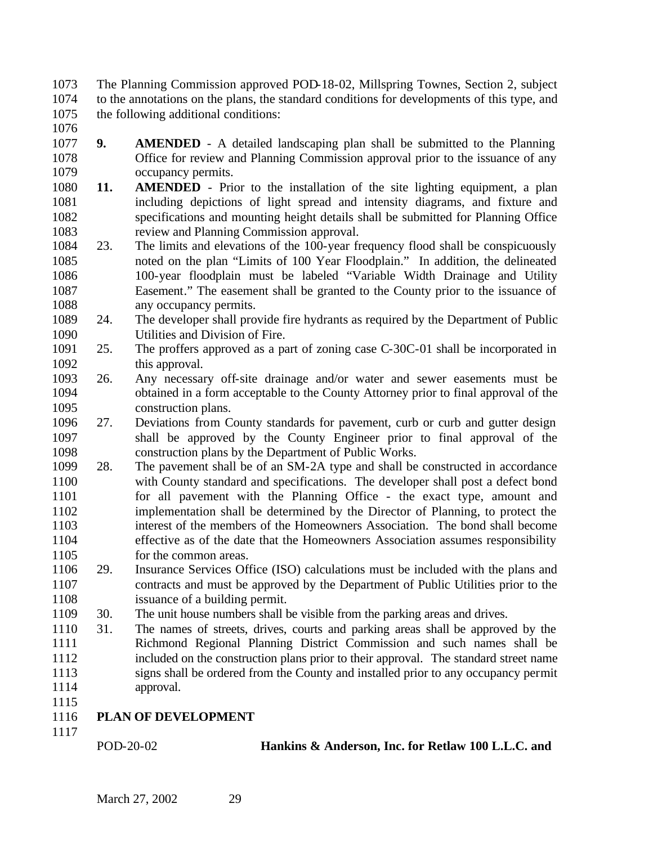The Planning Commission approved POD-18-02, Millspring Townes, Section 2, subject to the annotations on the plans, the standard conditions for developments of this type, and the following additional conditions:

- 
- **9. AMENDED** A detailed landscaping plan shall be submitted to the Planning Office for review and Planning Commission approval prior to the issuance of any occupancy permits.
- **11. AMENDED** Prior to the installation of the site lighting equipment, a plan including depictions of light spread and intensity diagrams, and fixture and specifications and mounting height details shall be submitted for Planning Office review and Planning Commission approval.
- 23. The limits and elevations of the 100-year frequency flood shall be conspicuously noted on the plan "Limits of 100 Year Floodplain." In addition, the delineated 100-year floodplain must be labeled "Variable Width Drainage and Utility Easement." The easement shall be granted to the County prior to the issuance of 1088 any occupancy permits.
- 24. The developer shall provide fire hydrants as required by the Department of Public Utilities and Division of Fire.
- 25. The proffers approved as a part of zoning case C-30C-01 shall be incorporated in this approval.
- 26. Any necessary off-site drainage and/or water and sewer easements must be obtained in a form acceptable to the County Attorney prior to final approval of the construction plans.
- 27. Deviations from County standards for pavement, curb or curb and gutter design shall be approved by the County Engineer prior to final approval of the construction plans by the Department of Public Works.
- 28. The pavement shall be of an SM-2A type and shall be constructed in accordance with County standard and specifications. The developer shall post a defect bond for all pavement with the Planning Office - the exact type, amount and implementation shall be determined by the Director of Planning, to protect the interest of the members of the Homeowners Association. The bond shall become effective as of the date that the Homeowners Association assumes responsibility 1105 for the common areas.
- 29. Insurance Services Office (ISO) calculations must be included with the plans and contracts and must be approved by the Department of Public Utilities prior to the 1108 issuance of a building permit.
- 30. The unit house numbers shall be visible from the parking areas and drives.
- 31. The names of streets, drives, courts and parking areas shall be approved by the Richmond Regional Planning District Commission and such names shall be included on the construction plans prior to their approval. The standard street name signs shall be ordered from the County and installed prior to any occupancy permit approval.
- **PLAN OF DEVELOPMENT**
- 

POD-20-02 **Hankins & Anderson, Inc. for Retlaw 100 L.L.C. and**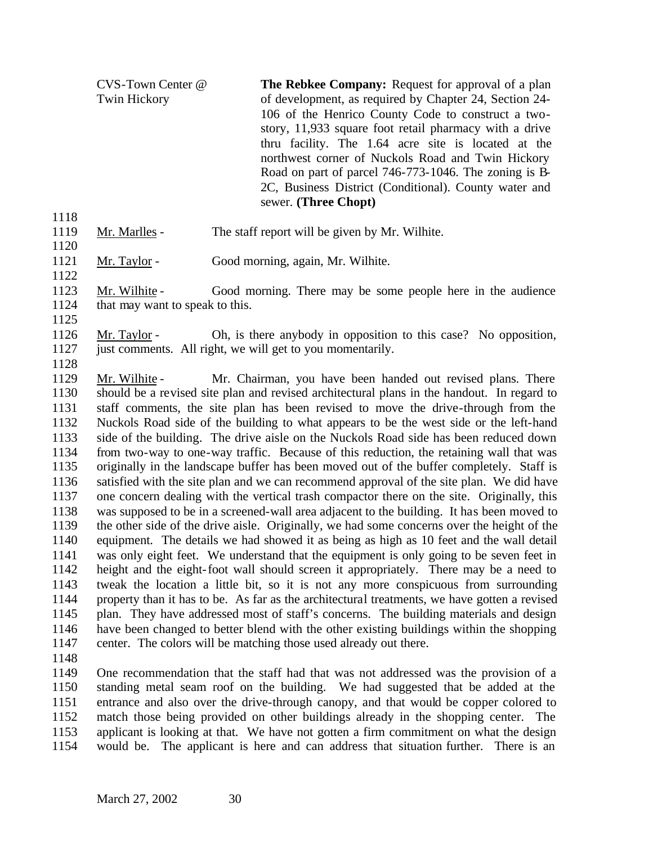CVS-Town Center @ Twin Hickory **The Rebkee Company:** Request for approval of a plan of development, as required by Chapter 24, Section 24- 106 of the Henrico County Code to construct a twostory, 11,933 square foot retail pharmacy with a drive thru facility. The 1.64 acre site is located at the northwest corner of Nuckols Road and Twin Hickory Road on part of parcel 746-773-1046. The zoning is B-2C, Business District (Conditional). County water and sewer. **(Three Chopt)**

- 
- Mr. Marlles The staff report will be given by Mr. Wilhite.
- Mr. Taylor Good morning, again, Mr. Wilhite.
- Mr. Wilhite Good morning. There may be some people here in the audience 1124 that may want to speak to this.
- 

 Mr. Taylor - Oh, is there anybody in opposition to this case? No opposition, 1127 just comments. All right, we will get to you momentarily.

 Mr. Wilhite - Mr. Chairman, you have been handed out revised plans. There should be a revised site plan and revised architectural plans in the handout. In regard to staff comments, the site plan has been revised to move the drive-through from the Nuckols Road side of the building to what appears to be the west side or the left-hand side of the building. The drive aisle on the Nuckols Road side has been reduced down from two-way to one-way traffic. Because of this reduction, the retaining wall that was originally in the landscape buffer has been moved out of the buffer completely. Staff is satisfied with the site plan and we can recommend approval of the site plan. We did have one concern dealing with the vertical trash compactor there on the site. Originally, this was supposed to be in a screened-wall area adjacent to the building. It has been moved to the other side of the drive aisle. Originally, we had some concerns over the height of the equipment. The details we had showed it as being as high as 10 feet and the wall detail was only eight feet. We understand that the equipment is only going to be seven feet in height and the eight-foot wall should screen it appropriately. There may be a need to tweak the location a little bit, so it is not any more conspicuous from surrounding property than it has to be. As far as the architectural treatments, we have gotten a revised plan. They have addressed most of staff's concerns. The building materials and design have been changed to better blend with the other existing buildings within the shopping center. The colors will be matching those used already out there.

 One recommendation that the staff had that was not addressed was the provision of a standing metal seam roof on the building. We had suggested that be added at the entrance and also over the drive-through canopy, and that would be copper colored to match those being provided on other buildings already in the shopping center. The applicant is looking at that. We have not gotten a firm commitment on what the design would be. The applicant is here and can address that situation further. There is an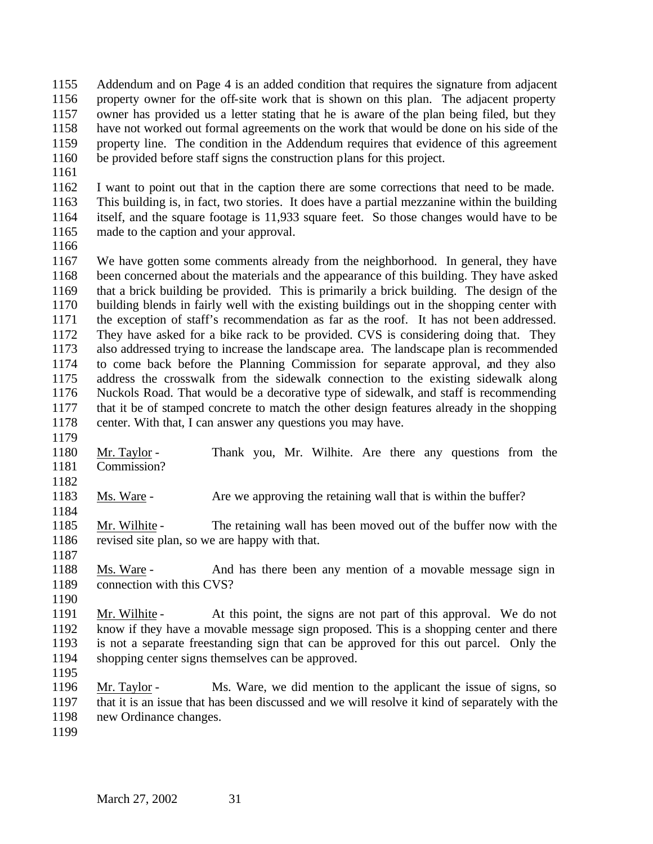Addendum and on Page 4 is an added condition that requires the signature from adjacent property owner for the off-site work that is shown on this plan. The adjacent property owner has provided us a letter stating that he is aware of the plan being filed, but they have not worked out formal agreements on the work that would be done on his side of the property line. The condition in the Addendum requires that evidence of this agreement be provided before staff signs the construction plans for this project.

 I want to point out that in the caption there are some corrections that need to be made. This building is, in fact, two stories. It does have a partial mezzanine within the building itself, and the square footage is 11,933 square feet. So those changes would have to be made to the caption and your approval.

 We have gotten some comments already from the neighborhood. In general, they have been concerned about the materials and the appearance of this building. They have asked that a brick building be provided. This is primarily a brick building. The design of the building blends in fairly well with the existing buildings out in the shopping center with the exception of staff's recommendation as far as the roof. It has not been addressed. They have asked for a bike rack to be provided. CVS is considering doing that. They also addressed trying to increase the landscape area. The landscape plan is recommended to come back before the Planning Commission for separate approval, and they also address the crosswalk from the sidewalk connection to the existing sidewalk along Nuckols Road. That would be a decorative type of sidewalk, and staff is recommending that it be of stamped concrete to match the other design features already in the shopping center. With that, I can answer any questions you may have.

- Mr. Taylor - Thank you, Mr. Wilhite. Are there any questions from the
- Commission?
- 1183 Ms. Ware Are we approving the retaining wall that is within the buffer?
- Mr. Wilhite The retaining wall has been moved out of the buffer now with the revised site plan, so we are happy with that.
- Ms. Ware - And has there been any mention of a movable message sign in connection with this CVS?
- 

 Mr. Wilhite - At this point, the signs are not part of this approval. We do not know if they have a movable message sign proposed. This is a shopping center and there is not a separate freestanding sign that can be approved for this out parcel. Only the shopping center signs themselves can be approved.

 Mr. Taylor - Ms. Ware, we did mention to the applicant the issue of signs, so that it is an issue that has been discussed and we will resolve it kind of separately with the new Ordinance changes.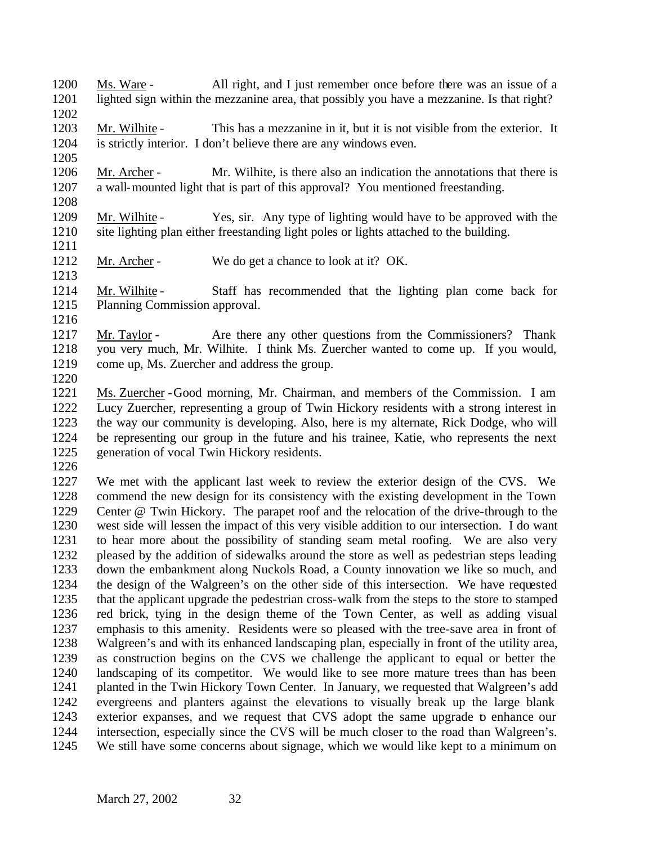Ms. Ware - All right, and I just remember once before there was an issue of a lighted sign within the mezzanine area, that possibly you have a mezzanine. Is that right? 

- Mr. Wilhite This has a mezzanine in it, but it is not visible from the exterior. It is strictly interior. I don't believe there are any windows even.
- Mr. Archer Mr. Wilhite, is there also an indication the annotations that there is a wall-mounted light that is part of this approval? You mentioned freestanding.
- Mr. Wilhite Yes, sir. Any type of lighting would have to be approved with the site lighting plan either freestanding light poles or lights attached to the building.
- Mr. Archer We do get a chance to look at it? OK.
- 1214 Mr. Wilhite Staff has recommended that the lighting plan come back for Planning Commission approval.
- 

- 1217 Mr. Taylor Are there any other questions from the Commissioners? Thank you very much, Mr. Wilhite. I think Ms. Zuercher wanted to come up. If you would, come up, Ms. Zuercher and address the group.
- 
- Ms. Zuercher -Good morning, Mr. Chairman, and members of the Commission. I am Lucy Zuercher, representing a group of Twin Hickory residents with a strong interest in the way our community is developing. Also, here is my alternate, Rick Dodge, who will be representing our group in the future and his trainee, Katie, who represents the next generation of vocal Twin Hickory residents.
- 

 We met with the applicant last week to review the exterior design of the CVS. We commend the new design for its consistency with the existing development in the Town Center @ Twin Hickory. The parapet roof and the relocation of the drive-through to the west side will lessen the impact of this very visible addition to our intersection. I do want to hear more about the possibility of standing seam metal roofing. We are also very pleased by the addition of sidewalks around the store as well as pedestrian steps leading down the embankment along Nuckols Road, a County innovation we like so much, and the design of the Walgreen's on the other side of this intersection. We have requested that the applicant upgrade the pedestrian cross-walk from the steps to the store to stamped red brick, tying in the design theme of the Town Center, as well as adding visual emphasis to this amenity. Residents were so pleased with the tree-save area in front of Walgreen's and with its enhanced landscaping plan, especially in front of the utility area, as construction begins on the CVS we challenge the applicant to equal or better the landscaping of its competitor. We would like to see more mature trees than has been planted in the Twin Hickory Town Center. In January, we requested that Walgreen's add evergreens and planters against the elevations to visually break up the large blank exterior expanses, and we request that CVS adopt the same upgrade to enhance our intersection, especially since the CVS will be much closer to the road than Walgreen's. We still have some concerns about signage, which we would like kept to a minimum on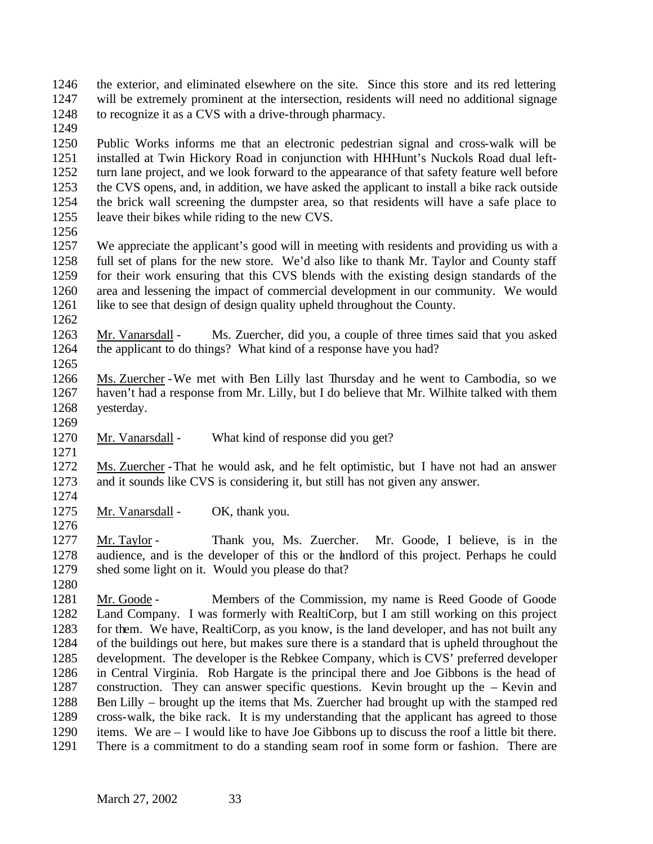the exterior, and eliminated elsewhere on the site. Since this store and its red lettering will be extremely prominent at the intersection, residents will need no additional signage to recognize it as a CVS with a drive-through pharmacy.

 Public Works informs me that an electronic pedestrian signal and cross-walk will be installed at Twin Hickory Road in conjunction with HHHunt's Nuckols Road dual left- turn lane project, and we look forward to the appearance of that safety feature well before the CVS opens, and, in addition, we have asked the applicant to install a bike rack outside the brick wall screening the dumpster area, so that residents will have a safe place to leave their bikes while riding to the new CVS.

 We appreciate the applicant's good will in meeting with residents and providing us with a full set of plans for the new store. We'd also like to thank Mr. Taylor and County staff for their work ensuring that this CVS blends with the existing design standards of the area and lessening the impact of commercial development in our community. We would like to see that design of design quality upheld throughout the County.

 Mr. Vanarsdall - Ms. Zuercher, did you, a couple of three times said that you asked the applicant to do things? What kind of a response have you had?

- Ms. Zuercher -We met with Ben Lilly last Thursday and he went to Cambodia, so we haven't had a response from Mr. Lilly, but I do believe that Mr. Wilhite talked with them yesterday.
- 

Mr. Vanarsdall - What kind of response did you get?

 Ms. Zuercher -That he would ask, and he felt optimistic, but I have not had an answer and it sounds like CVS is considering it, but still has not given any answer.

1275 Mr. Vanarsdall - OK, thank you.

 Mr. Taylor - Thank you, Ms. Zuercher. Mr. Goode, I believe, is in the audience, and is the developer of this or the landlord of this project. Perhaps he could shed some light on it. Would you please do that?

 Mr. Goode - Members of the Commission, my name is Reed Goode of Goode Land Company. I was formerly with RealtiCorp, but I am still working on this project for them. We have, RealtiCorp, as you know, is the land developer, and has not built any of the buildings out here, but makes sure there is a standard that is upheld throughout the development. The developer is the Rebkee Company, which is CVS' preferred developer in Central Virginia. Rob Hargate is the principal there and Joe Gibbons is the head of construction. They can answer specific questions. Kevin brought up the – Kevin and Ben Lilly – brought up the items that Ms. Zuercher had brought up with the stamped red cross-walk, the bike rack. It is my understanding that the applicant has agreed to those items. We are – I would like to have Joe Gibbons up to discuss the roof a little bit there. There is a commitment to do a standing seam roof in some form or fashion. There are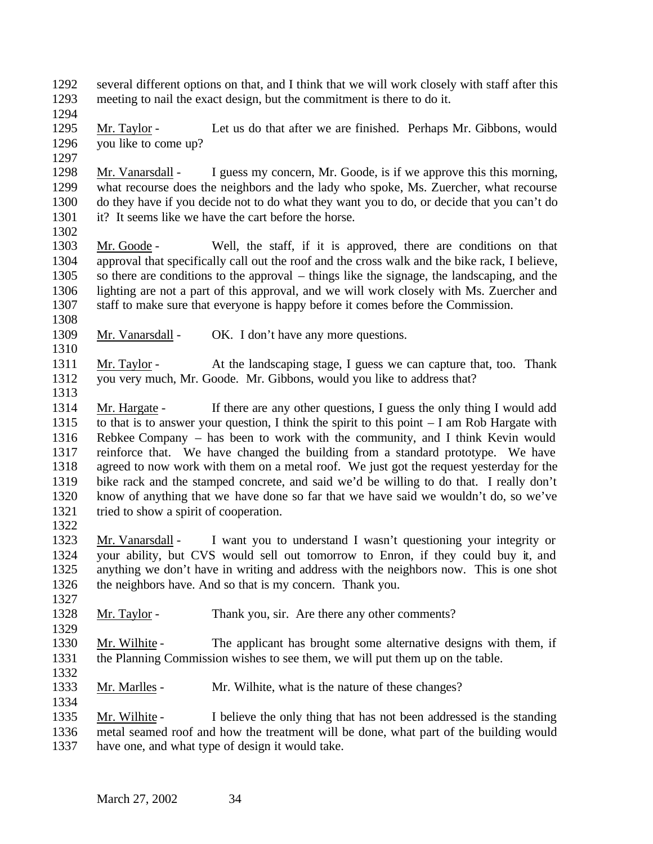several different options on that, and I think that we will work closely with staff after this meeting to nail the exact design, but the commitment is there to do it.

 Mr. Taylor - Let us do that after we are finished. Perhaps Mr. Gibbons, would you like to come up?

 Mr. Vanarsdall - I guess my concern, Mr. Goode, is if we approve this this morning, what recourse does the neighbors and the lady who spoke, Ms. Zuercher, what recourse do they have if you decide not to do what they want you to do, or decide that you can't do it? It seems like we have the cart before the horse.

 Mr. Goode - Well, the staff, if it is approved, there are conditions on that approval that specifically call out the roof and the cross walk and the bike rack, I believe, so there are conditions to the approval – things like the signage, the landscaping, and the lighting are not a part of this approval, and we will work closely with Ms. Zuercher and staff to make sure that everyone is happy before it comes before the Commission.

1309 Mr. Vanarsdall - OK. I don't have any more questions.

 Mr. Taylor - At the landscaping stage, I guess we can capture that, too. Thank you very much, Mr. Goode. Mr. Gibbons, would you like to address that?

 Mr. Hargate - If there are any other questions, I guess the only thing I would add to that is to answer your question, I think the spirit to this point – I am Rob Hargate with Rebkee Company – has been to work with the community, and I think Kevin would reinforce that. We have changed the building from a standard prototype. We have agreed to now work with them on a metal roof. We just got the request yesterday for the bike rack and the stamped concrete, and said we'd be willing to do that. I really don't know of anything that we have done so far that we have said we wouldn't do, so we've tried to show a spirit of cooperation. 

 Mr. Vanarsdall - I want you to understand I wasn't questioning your integrity or your ability, but CVS would sell out tomorrow to Enron, if they could buy it, and anything we don't have in writing and address with the neighbors now. This is one shot the neighbors have. And so that is my concern. Thank you.

1328 Mr. Taylor - Thank you, sir. Are there any other comments?

 Mr. Wilhite - The applicant has brought some alternative designs with them, if the Planning Commission wishes to see them, we will put them up on the table.

1333 Mr. Marlles - Mr. Wilhite, what is the nature of these changes?

 Mr. Wilhite - I believe the only thing that has not been addressed is the standing metal seamed roof and how the treatment will be done, what part of the building would have one, and what type of design it would take.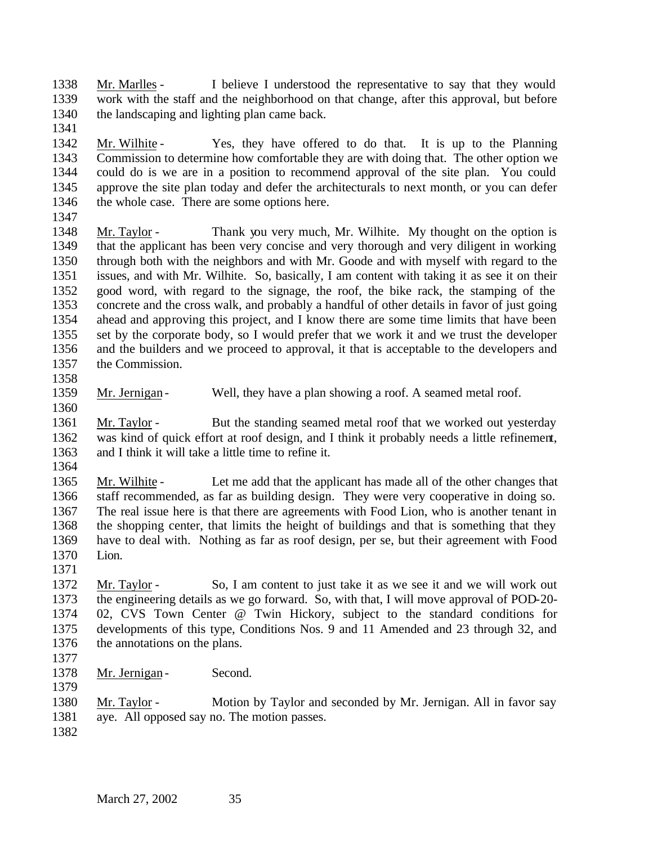Mr. Marlles - I believe I understood the representative to say that they would work with the staff and the neighborhood on that change, after this approval, but before the landscaping and lighting plan came back.

- Mr. Wilhite Yes, they have offered to do that. It is up to the Planning Commission to determine how comfortable they are with doing that. The other option we could do is we are in a position to recommend approval of the site plan. You could approve the site plan today and defer the architecturals to next month, or you can defer 1346 the whole case. There are some options here.
- 

- Mr. Taylor Thank you very much, Mr. Wilhite. My thought on the option is that the applicant has been very concise and very thorough and very diligent in working through both with the neighbors and with Mr. Goode and with myself with regard to the issues, and with Mr. Wilhite. So, basically, I am content with taking it as see it on their good word, with regard to the signage, the roof, the bike rack, the stamping of the concrete and the cross walk, and probably a handful of other details in favor of just going ahead and approving this project, and I know there are some time limits that have been set by the corporate body, so I would prefer that we work it and we trust the developer and the builders and we proceed to approval, it that is acceptable to the developers and the Commission.
- 1359 Mr. Jernigan Well, they have a plan showing a roof. A seamed metal roof.
- Mr. Taylor But the standing seamed metal roof that we worked out yesterday was kind of quick effort at roof design, and I think it probably needs a little refinement, and I think it will take a little time to refine it.
- 

 Mr. Wilhite - Let me add that the applicant has made all of the other changes that staff recommended, as far as building design. They were very cooperative in doing so. The real issue here is that there are agreements with Food Lion, who is another tenant in the shopping center, that limits the height of buildings and that is something that they have to deal with. Nothing as far as roof design, per se, but their agreement with Food Lion.

 Mr. Taylor - So, I am content to just take it as we see it and we will work out the engineering details as we go forward. So, with that, I will move approval of POD-20- 02, CVS Town Center @ Twin Hickory, subject to the standard conditions for developments of this type, Conditions Nos. 9 and 11 Amended and 23 through 32, and the annotations on the plans.

- 
- 1378 Mr. Jernigan Second.
- 

 Mr. Taylor - Motion by Taylor and seconded by Mr. Jernigan. All in favor say aye. All opposed say no. The motion passes.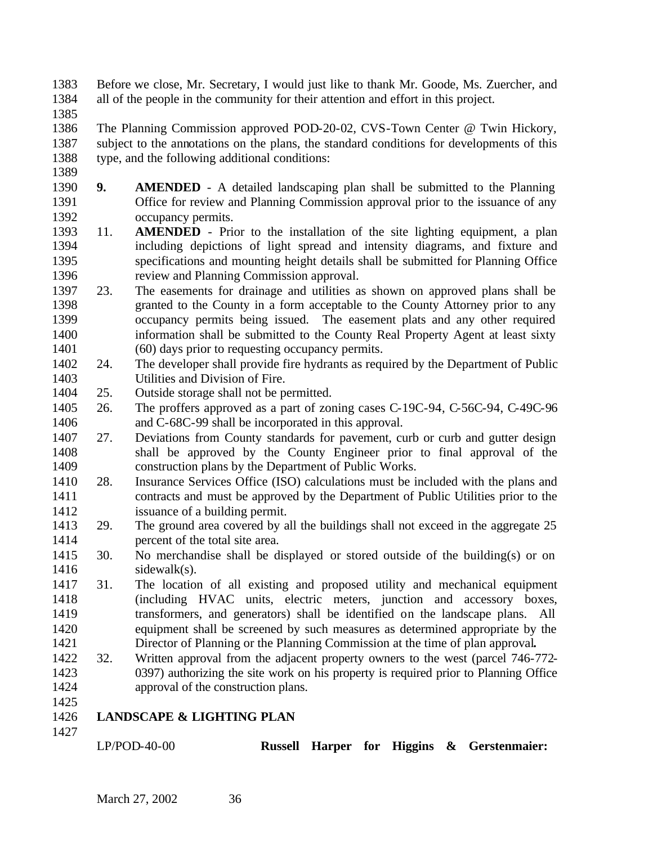Before we close, Mr. Secretary, I would just like to thank Mr. Goode, Ms. Zuercher, and all of the people in the community for their attention and effort in this project.

 The Planning Commission approved POD-20-02, CVS-Town Center @ Twin Hickory, subject to the annotations on the plans, the standard conditions for developments of this type, and the following additional conditions:

- **9. AMENDED** A detailed landscaping plan shall be submitted to the Planning Office for review and Planning Commission approval prior to the issuance of any occupancy permits.
- 11. **AMENDED** Prior to the installation of the site lighting equipment, a plan including depictions of light spread and intensity diagrams, and fixture and specifications and mounting height details shall be submitted for Planning Office review and Planning Commission approval.
- 23. The easements for drainage and utilities as shown on approved plans shall be granted to the County in a form acceptable to the County Attorney prior to any occupancy permits being issued. The easement plats and any other required information shall be submitted to the County Real Property Agent at least sixty (60) days prior to requesting occupancy permits.
- 24. The developer shall provide fire hydrants as required by the Department of Public Utilities and Division of Fire.
- 25. Outside storage shall not be permitted.
- 26. The proffers approved as a part of zoning cases C-19C-94, C-56C-94, C-49C-96 and C-68C-99 shall be incorporated in this approval.
- 27. Deviations from County standards for pavement, curb or curb and gutter design shall be approved by the County Engineer prior to final approval of the construction plans by the Department of Public Works.
- 28. Insurance Services Office (ISO) calculations must be included with the plans and contracts and must be approved by the Department of Public Utilities prior to the issuance of a building permit.
- 29. The ground area covered by all the buildings shall not exceed in the aggregate 25 percent of the total site area.
- 30. No merchandise shall be displayed or stored outside of the building(s) or on sidewalk(s).
- 31. The location of all existing and proposed utility and mechanical equipment (including HVAC units, electric meters, junction and accessory boxes, transformers, and generators) shall be identified on the landscape plans. All equipment shall be screened by such measures as determined appropriate by the Director of Planning or the Planning Commission at the time of plan approval**.**
- 32. Written approval from the adjacent property owners to the west (parcel 746-772- 0397) authorizing the site work on his property is required prior to Planning Office approval of the construction plans.

# **LANDSCAPE & LIGHTING PLAN**

LP/POD-40-00 **Russell Harper for Higgins & Gerstenmaier:**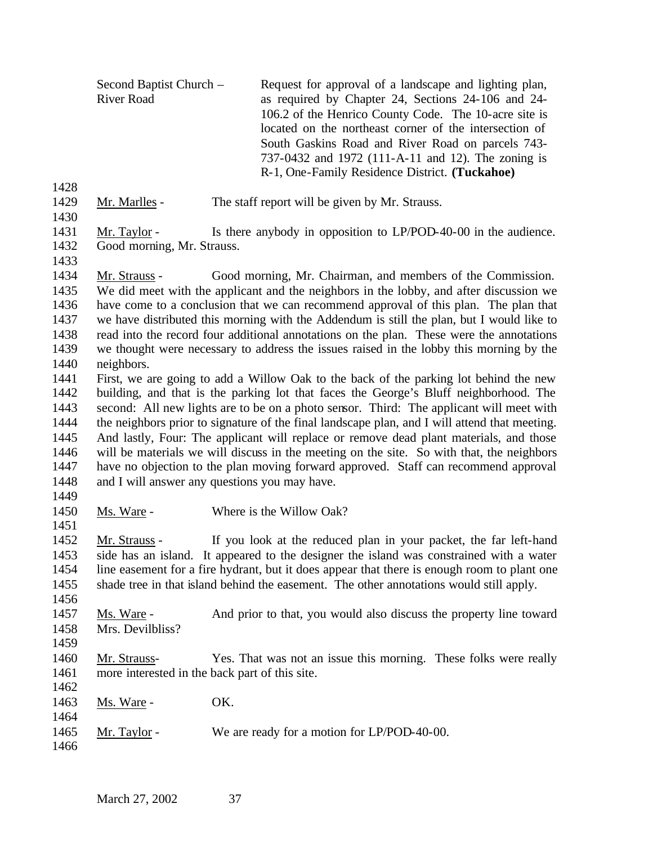- Second Baptist Church River Road Request for approval of a landscape and lighting plan, as required by Chapter 24, Sections 24-106 and 24- 106.2 of the Henrico County Code. The 10-acre site is located on the northeast corner of the intersection of South Gaskins Road and River Road on parcels 743- 737-0432 and 1972 (111-A-11 and 12). The zoning is R-1, One-Family Residence District. **(Tuckahoe)**
- 
- 
- 1429 Mr. Marlles The staff report will be given by Mr. Strauss.
- 1431 Mr. Taylor Is there anybody in opposition to LP/POD-40-00 in the audience. Good morning, Mr. Strauss.
- 

 Mr. Strauss - Good morning, Mr. Chairman, and members of the Commission. We did meet with the applicant and the neighbors in the lobby, and after discussion we have come to a conclusion that we can recommend approval of this plan. The plan that we have distributed this morning with the Addendum is still the plan, but I would like to read into the record four additional annotations on the plan. These were the annotations we thought were necessary to address the issues raised in the lobby this morning by the neighbors.

- First, we are going to add a Willow Oak to the back of the parking lot behind the new building, and that is the parking lot that faces the George's Bluff neighborhood. The second: All new lights are to be on a photo sensor. Third: The applicant will meet with the neighbors prior to signature of the final landscape plan, and I will attend that meeting. And lastly, Four: The applicant will replace or remove dead plant materials, and those will be materials we will discuss in the meeting on the site. So with that, the neighbors have no objection to the plan moving forward approved. Staff can recommend approval and I will answer any questions you may have.
- 

1450 Ms. Ware - Where is the Willow Oak?

 Mr. Strauss - If you look at the reduced plan in your packet, the far left-hand side has an island. It appeared to the designer the island was constrained with a water line easement for a fire hydrant, but it does appear that there is enough room to plant one shade tree in that island behind the easement. The other annotations would still apply.

 Ms. Ware - And prior to that, you would also discuss the property line toward Mrs. Devilbliss?

- Mr. Strauss- Yes. That was not an issue this morning. These folks were really more interested in the back part of this site.
- 1463 Ms. Ware OK.
- 1465 Mr. Taylor We are ready for a motion for LP/POD-40-00.
-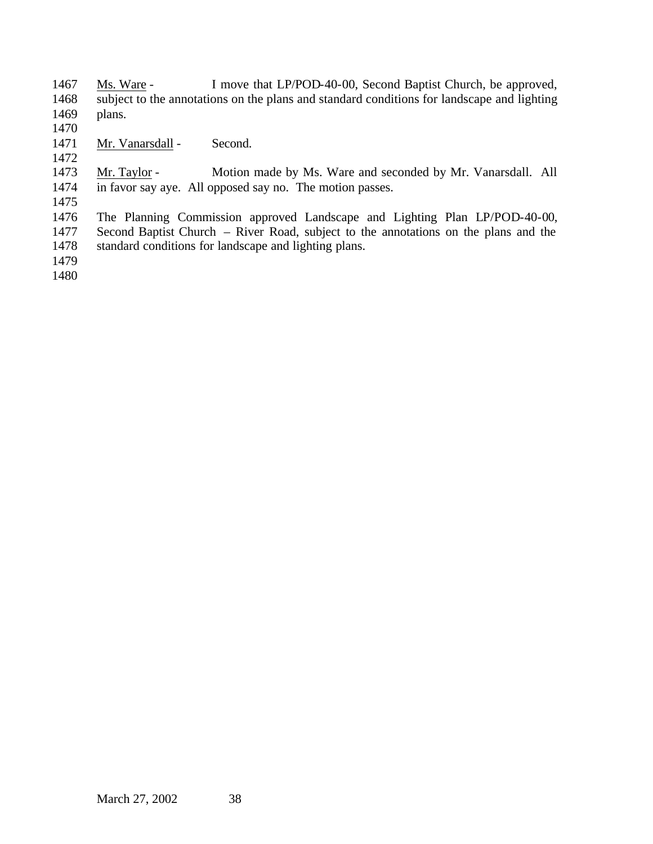Ms. Ware - I move that LP/POD-40-00, Second Baptist Church, be approved, subject to the annotations on the plans and standard conditions for landscape and lighting plans.

- 
- 1471 Mr. Vanarsdall Second.

1473 Mr. Taylor - Motion made by Ms. Ware and seconded by Mr. Vanarsdall. All in favor say aye. All opposed say no. The motion passes.

 The Planning Commission approved Landscape and Lighting Plan LP/POD-40-00, Second Baptist Church – River Road, subject to the annotations on the plans and the standard conditions for landscape and lighting plans.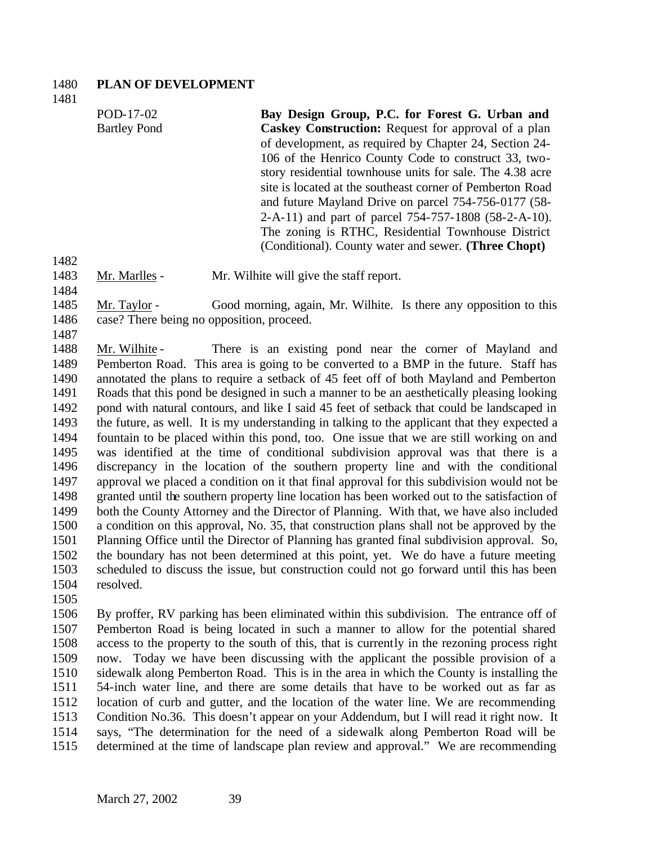#### **PLAN OF DEVELOPMENT**

POD-17-02 Bartley Pond **Bay Design Group, P.C. for Forest G. Urban and Caskey Construction:** Request for approval of a plan of development, as required by Chapter 24, Section 24- 106 of the Henrico County Code to construct 33, twostory residential townhouse units for sale. The 4.38 acre site is located at the southeast corner of Pemberton Road and future Mayland Drive on parcel 754-756-0177 (58- 2-A-11) and part of parcel 754-757-1808 (58-2-A-10). The zoning is RTHC, Residential Townhouse District (Conditional). County water and sewer. **(Three Chopt)**

Mr. Marlles - Mr. Wilhite will give the staff report.

 Mr. Taylor - Good morning, again, Mr. Wilhite. Is there any opposition to this case? There being no opposition, proceed.

 Mr. Wilhite - There is an existing pond near the corner of Mayland and Pemberton Road. This area is going to be converted to a BMP in the future. Staff has annotated the plans to require a setback of 45 feet off of both Mayland and Pemberton Roads that this pond be designed in such a manner to be an aesthetically pleasing looking pond with natural contours, and like I said 45 feet of setback that could be landscaped in the future, as well. It is my understanding in talking to the applicant that they expected a fountain to be placed within this pond, too. One issue that we are still working on and was identified at the time of conditional subdivision approval was that there is a discrepancy in the location of the southern property line and with the conditional approval we placed a condition on it that final approval for this subdivision would not be granted until the southern property line location has been worked out to the satisfaction of both the County Attorney and the Director of Planning. With that, we have also included a condition on this approval, No. 35, that construction plans shall not be approved by the Planning Office until the Director of Planning has granted final subdivision approval. So, the boundary has not been determined at this point, yet. We do have a future meeting scheduled to discuss the issue, but construction could not go forward until this has been resolved.

 By proffer, RV parking has been eliminated within this subdivision. The entrance off of Pemberton Road is being located in such a manner to allow for the potential shared access to the property to the south of this, that is currently in the rezoning process right now. Today we have been discussing with the applicant the possible provision of a sidewalk along Pemberton Road. This is in the area in which the County is installing the 54-inch water line, and there are some details that have to be worked out as far as location of curb and gutter, and the location of the water line. We are recommending Condition No.36. This doesn't appear on your Addendum, but I will read it right now. It says, "The determination for the need of a sidewalk along Pemberton Road will be determined at the time of landscape plan review and approval." We are recommending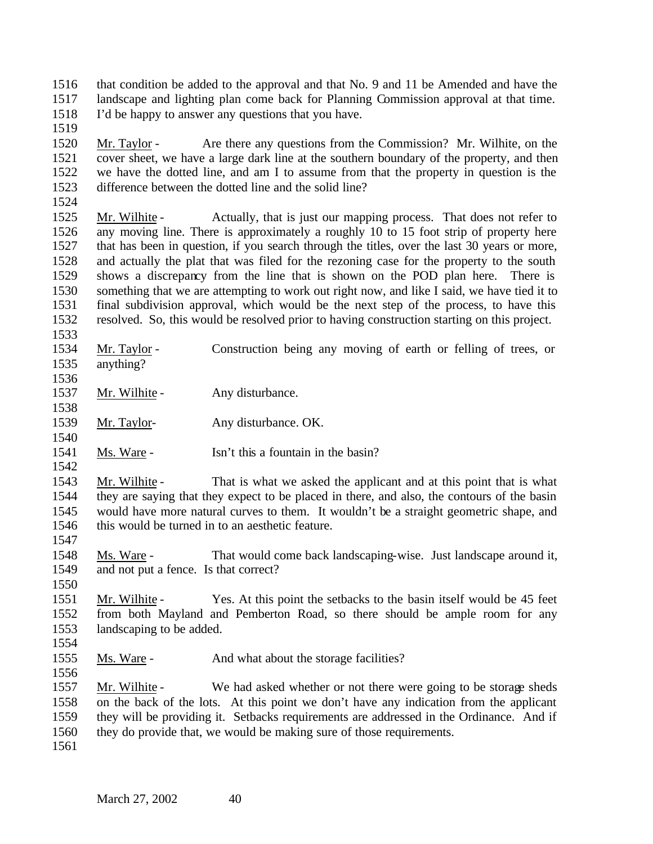that condition be added to the approval and that No. 9 and 11 be Amended and have the landscape and lighting plan come back for Planning Commission approval at that time. I'd be happy to answer any questions that you have.

 Mr. Taylor - Are there any questions from the Commission? Mr. Wilhite, on the cover sheet, we have a large dark line at the southern boundary of the property, and then we have the dotted line, and am I to assume from that the property in question is the difference between the dotted line and the solid line? 

 Mr. Wilhite - Actually, that is just our mapping process. That does not refer to any moving line. There is approximately a roughly 10 to 15 foot strip of property here that has been in question, if you search through the titles, over the last 30 years or more, and actually the plat that was filed for the rezoning case for the property to the south shows a discrepancy from the line that is shown on the POD plan here. There is something that we are attempting to work out right now, and like I said, we have tied it to final subdivision approval, which would be the next step of the process, to have this resolved. So, this would be resolved prior to having construction starting on this project.

- Mr. Taylor - Construction being any moving of earth or felling of trees, or anything?
- 1537 Mr. Wilhite Any disturbance.
- Mr. Taylor- Any disturbance. OK.
- 1541 Ms. Ware Isn't this a fountain in the basin?

 Mr. Wilhite - That is what we asked the applicant and at this point that is what they are saying that they expect to be placed in there, and also, the contours of the basin would have more natural curves to them. It wouldn't be a straight geometric shape, and this would be turned in to an aesthetic feature. 

- Ms. Ware That would come back landscaping-wise. Just landscape around it, and not put a fence. Is that correct?
- Mr. Wilhite Yes. At this point the setbacks to the basin itself would be 45 feet from both Mayland and Pemberton Road, so there should be ample room for any landscaping to be added.
- Ms. Ware And what about the storage facilities?

 Mr. Wilhite - We had asked whether or not there were going to be storage sheds on the back of the lots. At this point we don't have any indication from the applicant they will be providing it. Setbacks requirements are addressed in the Ordinance. And if they do provide that, we would be making sure of those requirements.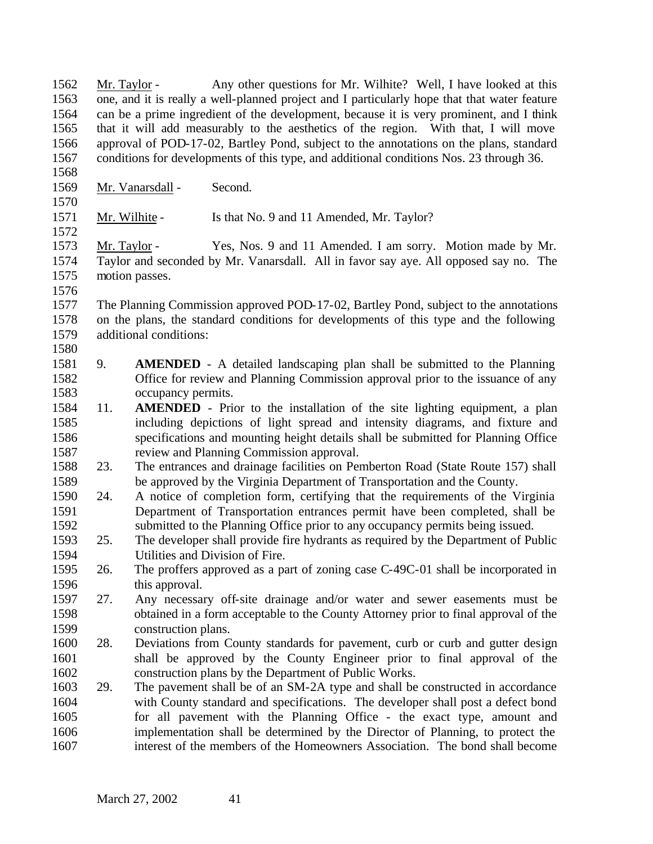Mr. Taylor - Any other questions for Mr. Wilhite? Well, I have looked at this one, and it is really a well-planned project and I particularly hope that that water feature can be a prime ingredient of the development, because it is very prominent, and I think that it will add measurably to the aesthetics of the region. With that, I will move approval of POD-17-02, Bartley Pond, subject to the annotations on the plans, standard conditions for developments of this type, and additional conditions Nos. 23 through 36. 1569 Mr. Vanarsdall - Second. 1571 Mr. Wilhite - Is that No. 9 and 11 Amended, Mr. Taylor? Mr. Taylor - Yes, Nos. 9 and 11 Amended. I am sorry. Motion made by Mr. Taylor and seconded by Mr. Vanarsdall. All in favor say aye. All opposed say no. The motion passes. The Planning Commission approved POD-17-02, Bartley Pond, subject to the annotations on the plans, the standard conditions for developments of this type and the following additional conditions: 9. **AMENDED** - A detailed landscaping plan shall be submitted to the Planning Office for review and Planning Commission approval prior to the issuance of any occupancy permits. 11. **AMENDED** - Prior to the installation of the site lighting equipment, a plan including depictions of light spread and intensity diagrams, and fixture and specifications and mounting height details shall be submitted for Planning Office review and Planning Commission approval. 23. The entrances and drainage facilities on Pemberton Road (State Route 157) shall be approved by the Virginia Department of Transportation and the County. 24. A notice of completion form, certifying that the requirements of the Virginia Department of Transportation entrances permit have been completed, shall be 1592 submitted to the Planning Office prior to any occupancy permits being issued.<br>1593 25. The developer shall provide fire hydrants as required by the Department of Pu 25. The developer shall provide fire hydrants as required by the Department of Public Utilities and Division of Fire. 26. The proffers approved as a part of zoning case C-49C-01 shall be incorporated in this approval. 27. Any necessary off-site drainage and/or water and sewer easements must be obtained in a form acceptable to the County Attorney prior to final approval of the construction plans. 28. Deviations from County standards for pavement, curb or curb and gutter design shall be approved by the County Engineer prior to final approval of the construction plans by the Department of Public Works. 29. The pavement shall be of an SM-2A type and shall be constructed in accordance with County standard and specifications. The developer shall post a defect bond for all pavement with the Planning Office - the exact type, amount and implementation shall be determined by the Director of Planning, to protect the interest of the members of the Homeowners Association. The bond shall become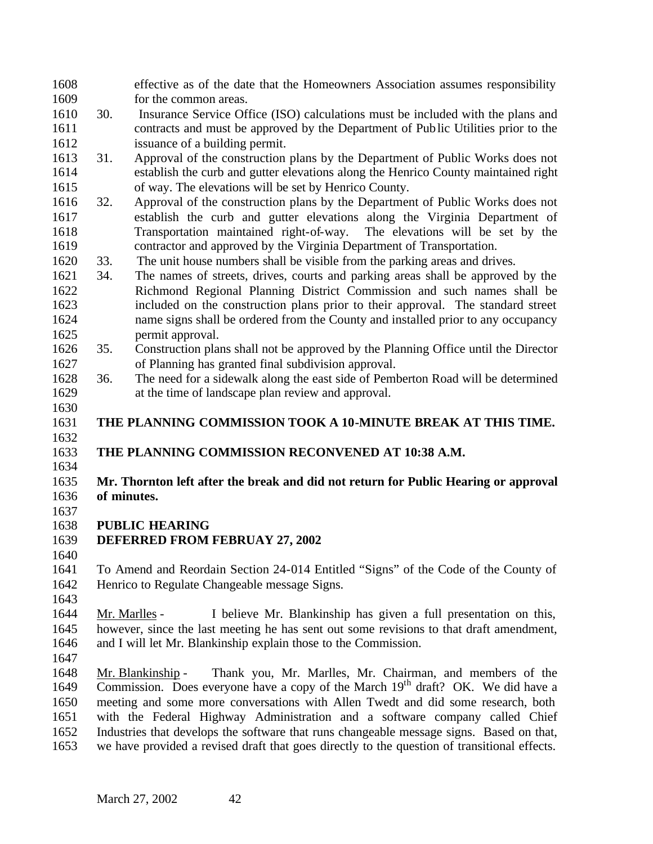effective as of the date that the Homeowners Association assumes responsibility for the common areas.

- 30. Insurance Service Office (ISO) calculations must be included with the plans and contracts and must be approved by the Department of Public Utilities prior to the issuance of a building permit.
- 31. Approval of the construction plans by the Department of Public Works does not establish the curb and gutter elevations along the Henrico County maintained right of way. The elevations will be set by Henrico County.
- 32. Approval of the construction plans by the Department of Public Works does not establish the curb and gutter elevations along the Virginia Department of Transportation maintained right-of-way. The elevations will be set by the contractor and approved by the Virginia Department of Transportation.
- 33. The unit house numbers shall be visible from the parking areas and drives.
- 34. The names of streets, drives, courts and parking areas shall be approved by the Richmond Regional Planning District Commission and such names shall be included on the construction plans prior to their approval. The standard street name signs shall be ordered from the County and installed prior to any occupancy 1625 permit approval.<br>1626 35. Construction plan
- 35. Construction plans shall not be approved by the Planning Office until the Director of Planning has granted final subdivision approval.
- 36. The need for a sidewalk along the east side of Pemberton Road will be determined at the time of landscape plan review and approval.
- **THE PLANNING COMMISSION TOOK A 10-MINUTE BREAK AT THIS TIME.**

# **THE PLANNING COMMISSION RECONVENED AT 10:38 A.M.**

#### **Mr. Thornton left after the break and did not return for Public Hearing or approval of minutes.**

# **PUBLIC HEARING**

- **DEFERRED FROM FEBRUAY 27, 2002**
- 

 To Amend and Reordain Section 24-014 Entitled "Signs" of the Code of the County of Henrico to Regulate Changeable message Signs.

 Mr. Marlles - I believe Mr. Blankinship has given a full presentation on this, however, since the last meeting he has sent out some revisions to that draft amendment, and I will let Mr. Blankinship explain those to the Commission.

 Mr. Blankinship - Thank you, Mr. Marlles, Mr. Chairman, and members of the 1649 Commission. Does everyone have a copy of the March  $19<sup>th</sup>$  draft? OK. We did have a meeting and some more conversations with Allen Twedt and did some research, both with the Federal Highway Administration and a software company called Chief Industries that develops the software that runs changeable message signs. Based on that, we have provided a revised draft that goes directly to the question of transitional effects.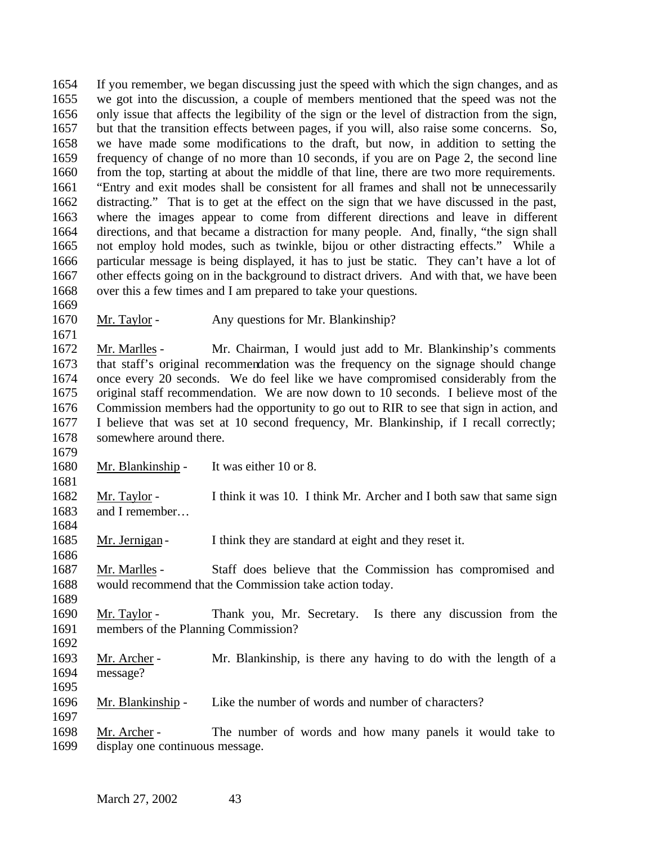If you remember, we began discussing just the speed with which the sign changes, and as we got into the discussion, a couple of members mentioned that the speed was not the only issue that affects the legibility of the sign or the level of distraction from the sign, but that the transition effects between pages, if you will, also raise some concerns. So, we have made some modifications to the draft, but now, in addition to setting the frequency of change of no more than 10 seconds, if you are on Page 2, the second line 1660 from the top, starting at about the middle of that line, there are two more requirements. "Entry and exit modes shall be consistent for all frames and shall not be unnecessarily distracting." That is to get at the effect on the sign that we have discussed in the past, where the images appear to come from different directions and leave in different directions, and that became a distraction for many people. And, finally, "the sign shall not employ hold modes, such as twinkle, bijou or other distracting effects." While a particular message is being displayed, it has to just be static. They can't have a lot of 1667 other effects going on in the background to distract drivers. And with that, we have been over this a few times and I am prepared to take your questions. 

1670 Mr. Taylor - Any questions for Mr. Blankinship?

 Mr. Marlles - Mr. Chairman, I would just add to Mr. Blankinship's comments that staff's original recommendation was the frequency on the signage should change once every 20 seconds. We do feel like we have compromised considerably from the original staff recommendation. We are now down to 10 seconds. I believe most of the Commission members had the opportunity to go out to RIR to see that sign in action, and I believe that was set at 10 second frequency, Mr. Blankinship, if I recall correctly; somewhere around there.

Mr. Blankinship - It was either 10 or 8.

 Mr. Taylor - I think it was 10. I think Mr. Archer and I both saw that same sign and I remember…

1685 Mr. Jernigan - I think they are standard at eight and they reset it.

 Mr. Marlles - Staff does believe that the Commission has compromised and would recommend that the Commission take action today.

 Mr. Taylor - Thank you, Mr. Secretary. Is there any discussion from the members of the Planning Commission?

 Mr. Archer - Mr. Blankinship, is there any having to do with the length of a message? 

Mr. Blankinship - Like the number of words and number of characters?

 Mr. Archer - The number of words and how many panels it would take to display one continuous message.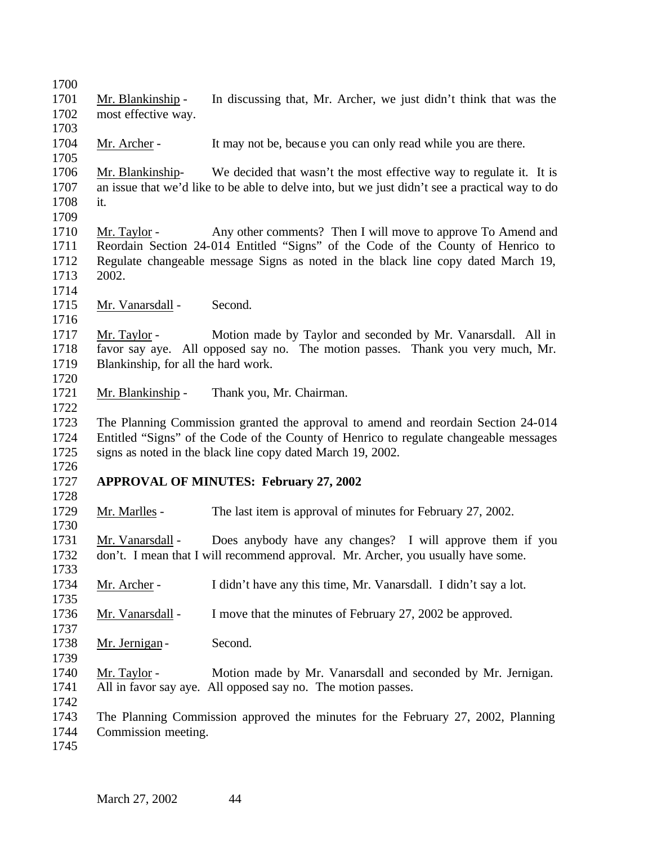Mr. Blankinship - In discussing that, Mr. Archer, we just didn't think that was the most effective way. 

1704 Mr. Archer - It may not be, because you can only read while you are there.

 Mr. Blankinship- We decided that wasn't the most effective way to regulate it. It is an issue that we'd like to be able to delve into, but we just didn't see a practical way to do it. 

1710 Mr. Taylor - Any other comments? Then I will move to approve To Amend and Reordain Section 24-014 Entitled "Signs" of the Code of the County of Henrico to Regulate changeable message Signs as noted in the black line copy dated March 19, 2002.

1715 Mr. Vanarsdall - Second.

 Mr. Taylor - Motion made by Taylor and seconded by Mr. Vanarsdall. All in favor say aye. All opposed say no. The motion passes. Thank you very much, Mr. Blankinship, for all the hard work. 

Mr. Blankinship - Thank you, Mr. Chairman.

 The Planning Commission granted the approval to amend and reordain Section 24-014 Entitled "Signs" of the Code of the County of Henrico to regulate changeable messages signs as noted in the black line copy dated March 19, 2002.

# **APPROVAL OF MINUTES: February 27, 2002**

 Mr. Marlles - The last item is approval of minutes for February 27, 2002. 

 Mr. Vanarsdall - Does anybody have any changes? I will approve them if you don't. I mean that I will recommend approval. Mr. Archer, you usually have some. 

Mr. Archer - I didn't have any this time, Mr. Vanarsdall. I didn't say a lot.

Mr. Vanarsdall - I move that the minutes of February 27, 2002 be approved.

1738 Mr. Jernigan - Second.

 Mr. Taylor - Motion made by Mr. Vanarsdall and seconded by Mr. Jernigan. All in favor say aye. All opposed say no. The motion passes.

 The Planning Commission approved the minutes for the February 27, 2002, Planning Commission meeting.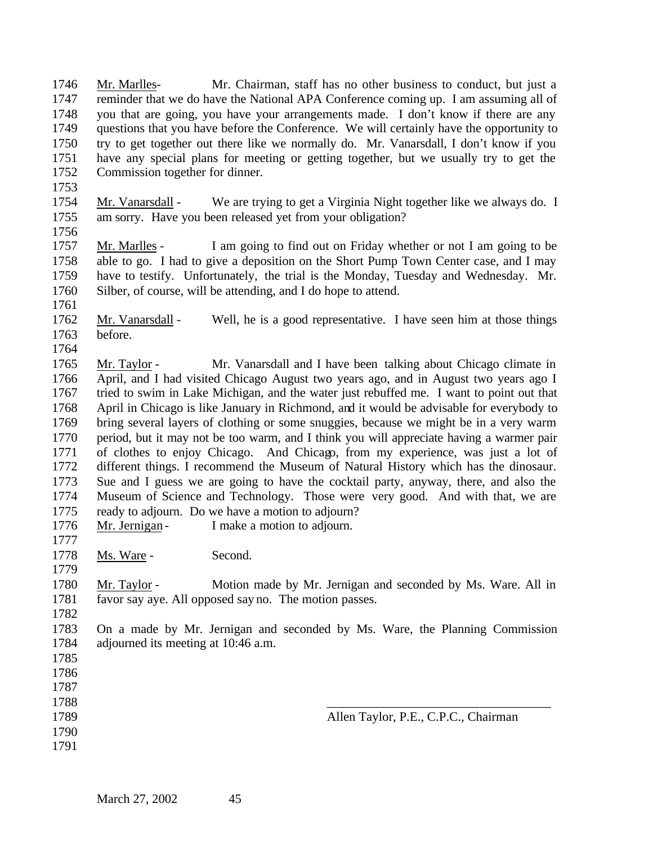Mr. Marlles- Mr. Chairman, staff has no other business to conduct, but just a reminder that we do have the National APA Conference coming up. I am assuming all of you that are going, you have your arrangements made. I don't know if there are any questions that you have before the Conference. We will certainly have the opportunity to try to get together out there like we normally do. Mr. Vanarsdall, I don't know if you have any special plans for meeting or getting together, but we usually try to get the Commission together for dinner.

 Mr. Vanarsdall - We are trying to get a Virginia Night together like we always do. I am sorry. Have you been released yet from your obligation?

 Mr. Marlles - I am going to find out on Friday whether or not I am going to be able to go. I had to give a deposition on the Short Pump Town Center case, and I may have to testify. Unfortunately, the trial is the Monday, Tuesday and Wednesday. Mr. Silber, of course, will be attending, and I do hope to attend.

 Mr. Vanarsdall - Well, he is a good representative. I have seen him at those things before. 

 Mr. Taylor - Mr. Vanarsdall and I have been talking about Chicago climate in April, and I had visited Chicago August two years ago, and in August two years ago I tried to swim in Lake Michigan, and the water just rebuffed me. I want to point out that April in Chicago is like January in Richmond, and it would be advisable for everybody to bring several layers of clothing or some snuggies, because we might be in a very warm period, but it may not be too warm, and I think you will appreciate having a warmer pair of clothes to enjoy Chicago. And Chicago, from my experience, was just a lot of different things. I recommend the Museum of Natural History which has the dinosaur. Sue and I guess we are going to have the cocktail party, anyway, there, and also the Museum of Science and Technology. Those were very good. And with that, we are 1775 ready to adjourn. Do we have a motion to adjourn?<br>1776 Mr. Jernigan - I make a motion to adjourn.

1776 Mr. Jernigan - I make a motion to adjourn. 

1778 Ms. Ware - Second.

 Mr. Taylor - Motion made by Mr. Jernigan and seconded by Ms. Ware. All in favor say aye. All opposed say no. The motion passes.

 On a made by Mr. Jernigan and seconded by Ms. Ware, the Planning Commission adjourned its meeting at 10:46 a.m.

- 
- 
- \_\_\_\_\_\_\_\_\_\_\_\_\_\_\_\_\_\_\_\_\_\_\_\_\_\_\_\_\_\_\_\_\_\_\_
- 
- 

March 27, 2002 45

Allen Taylor, P.E., C.P.C., Chairman